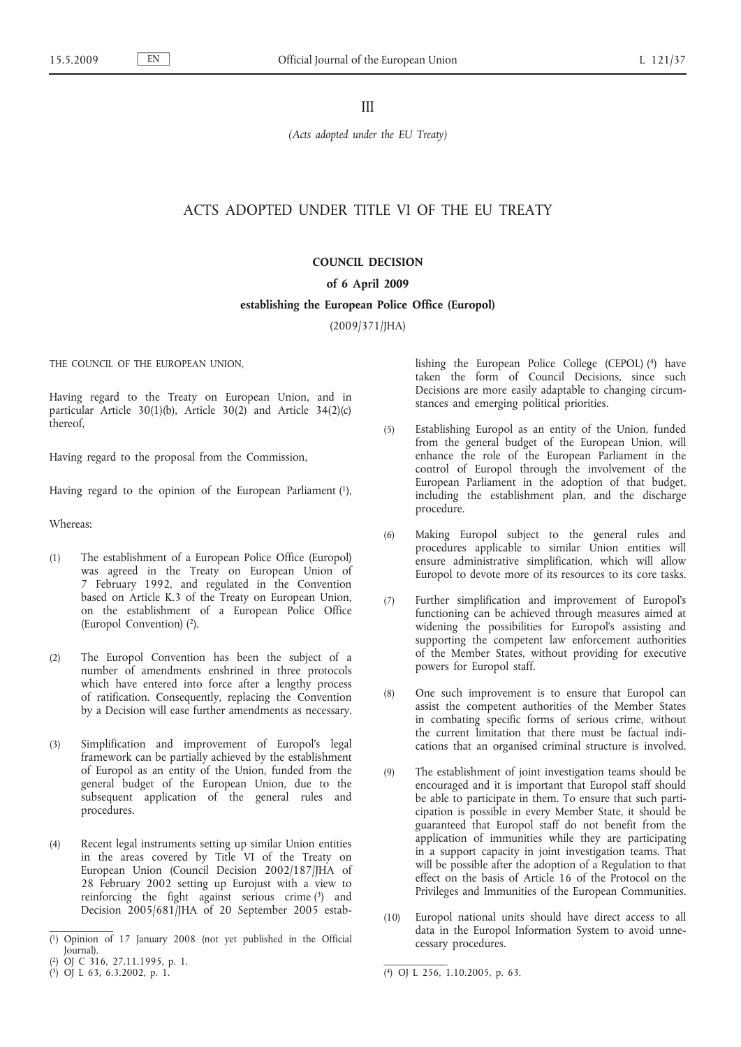III

*(Acts adopted under the EU Treaty)*

# ACTS ADOPTED UNDER TITLE VI OF THE EU TREATY

# **COUNCIL DECISION**

# **of 6 April 2009**

# **establishing the European Police Office (Europol)**

(2009/371/JHA)

THE COUNCIL OF THE EUROPEAN UNION,

Having regard to the Treaty on European Union, and in particular Article 30(1)(b), Article 30(2) and Article 34(2)(c) thereof,

Having regard to the proposal from the Commission,

Having regard to the opinion of the European Parliament (1),

Whereas:

- (1) The establishment of a European Police Office (Europol) was agreed in the Treaty on European Union of 7 February 1992, and regulated in the Convention based on Article K.3 of the Treaty on European Union, on the establishment of a European Police Office (Europol Convention) (2).
- (2) The Europol Convention has been the subject of a number of amendments enshrined in three protocols which have entered into force after a lengthy process of ratification. Consequently, replacing the Convention by a Decision will ease further amendments as necessary.
- (3) Simplification and improvement of Europol's legal framework can be partially achieved by the establishment of Europol as an entity of the Union, funded from the general budget of the European Union, due to the subsequent application of the general rules and procedures.
- (4) Recent legal instruments setting up similar Union entities in the areas covered by Title VI of the Treaty on European Union (Council Decision 2002/187/JHA of 28 February 2002 setting up Eurojust with a view to reinforcing the fight against serious crime  $(3)$  and Decision 2005/681/JHA of 20 September 2005 estab-

lishing the European Police College (CEPOL) (4) have taken the form of Council Decisions, since such Decisions are more easily adaptable to changing circumstances and emerging political priorities.

- (5) Establishing Europol as an entity of the Union, funded from the general budget of the European Union, will enhance the role of the European Parliament in the control of Europol through the involvement of the European Parliament in the adoption of that budget, including the establishment plan, and the discharge procedure.
- (6) Making Europol subject to the general rules and procedures applicable to similar Union entities will ensure administrative simplification, which will allow Europol to devote more of its resources to its core tasks.
- (7) Further simplification and improvement of Europol's functioning can be achieved through measures aimed at widening the possibilities for Europol's assisting and supporting the competent law enforcement authorities of the Member States, without providing for executive powers for Europol staff.
- (8) One such improvement is to ensure that Europol can assist the competent authorities of the Member States in combating specific forms of serious crime, without the current limitation that there must be factual indications that an organised criminal structure is involved.
- (9) The establishment of joint investigation teams should be encouraged and it is important that Europol staff should be able to participate in them. To ensure that such participation is possible in every Member State, it should be guaranteed that Europol staff do not benefit from the application of immunities while they are participating in a support capacity in joint investigation teams. That will be possible after the adoption of a Regulation to that effect on the basis of Article 16 of the Protocol on the Privileges and Immunities of the European Communities.
- (10) Europol national units should have direct access to all data in the Europol Information System to avoid unnecessary procedures.

<sup>(</sup> 1) Opinion of 17 January 2008 (not yet published in the Official Journal).

<sup>(</sup> 2) OJ C 316, 27.11.1995, p. 1.

 $(3)$  OJ L 63, 6.3.2002, p. 1.

<sup>(4)</sup> OJ L 256, 1.10.2005, p. 63.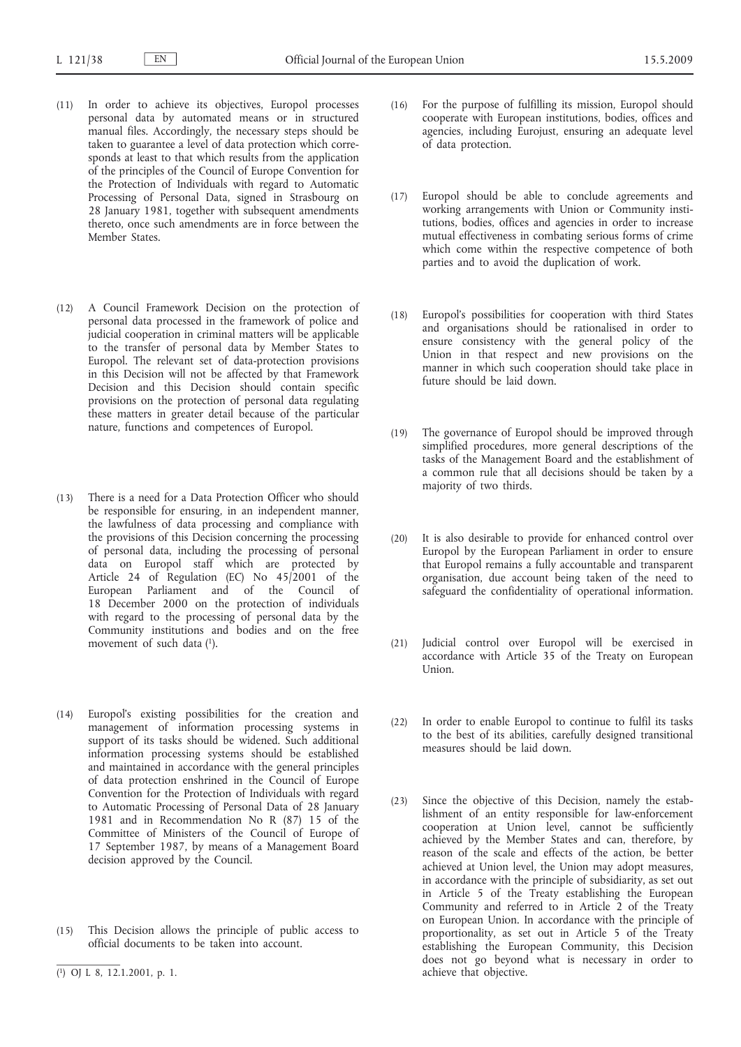- (11) In order to achieve its objectives, Europol processes personal data by automated means or in structured manual files. Accordingly, the necessary steps should be taken to guarantee a level of data protection which corresponds at least to that which results from the application of the principles of the Council of Europe Convention for the Protection of Individuals with regard to Automatic Processing of Personal Data, signed in Strasbourg on 28 January 1981, together with subsequent amendments thereto, once such amendments are in force between the Member States.
- (12) A Council Framework Decision on the protection of personal data processed in the framework of police and judicial cooperation in criminal matters will be applicable to the transfer of personal data by Member States to Europol. The relevant set of data-protection provisions in this Decision will not be affected by that Framework Decision and this Decision should contain specific provisions on the protection of personal data regulating these matters in greater detail because of the particular nature, functions and competences of Europol.
- (13) There is a need for a Data Protection Officer who should be responsible for ensuring, in an independent manner, the lawfulness of data processing and compliance with the provisions of this Decision concerning the processing of personal data, including the processing of personal data on Europol staff which are protected by Article 24 of Regulation (EC) No 45/2001 of the European Parliament and of the Council of 18 December 2000 on the protection of individuals with regard to the processing of personal data by the Community institutions and bodies and on the free movement of such data (1).
- (14) Europol's existing possibilities for the creation and management of information processing systems in support of its tasks should be widened. Such additional information processing systems should be established and maintained in accordance with the general principles of data protection enshrined in the Council of Europe Convention for the Protection of Individuals with regard to Automatic Processing of Personal Data of 28 January 1981 and in Recommendation No R (87) 15 of the Committee of Ministers of the Council of Europe of 17 September 1987, by means of a Management Board decision approved by the Council.
- (15) This Decision allows the principle of public access to official documents to be taken into account.
- ( 1) OJ L 8, 12.1.2001, p. 1.
- (16) For the purpose of fulfilling its mission, Europol should cooperate with European institutions, bodies, offices and agencies, including Eurojust, ensuring an adequate level of data protection.
- (17) Europol should be able to conclude agreements and working arrangements with Union or Community institutions, bodies, offices and agencies in order to increase mutual effectiveness in combating serious forms of crime which come within the respective competence of both parties and to avoid the duplication of work.
- (18) Europol's possibilities for cooperation with third States and organisations should be rationalised in order to ensure consistency with the general policy of the Union in that respect and new provisions on the manner in which such cooperation should take place in future should be laid down.
- (19) The governance of Europol should be improved through simplified procedures, more general descriptions of the tasks of the Management Board and the establishment of a common rule that all decisions should be taken by a majority of two thirds.
- (20) It is also desirable to provide for enhanced control over Europol by the European Parliament in order to ensure that Europol remains a fully accountable and transparent organisation, due account being taken of the need to safeguard the confidentiality of operational information.
- (21) Judicial control over Europol will be exercised in accordance with Article 35 of the Treaty on European Union.
- (22) In order to enable Europol to continue to fulfil its tasks to the best of its abilities, carefully designed transitional measures should be laid down.
- (23) Since the objective of this Decision, namely the establishment of an entity responsible for law-enforcement cooperation at Union level, cannot be sufficiently achieved by the Member States and can, therefore, by reason of the scale and effects of the action, be better achieved at Union level, the Union may adopt measures, in accordance with the principle of subsidiarity, as set out in Article 5 of the Treaty establishing the European Community and referred to in Article 2 of the Treaty on European Union. In accordance with the principle of proportionality, as set out in Article 5 of the Treaty establishing the European Community, this Decision does not go beyond what is necessary in order to achieve that objective.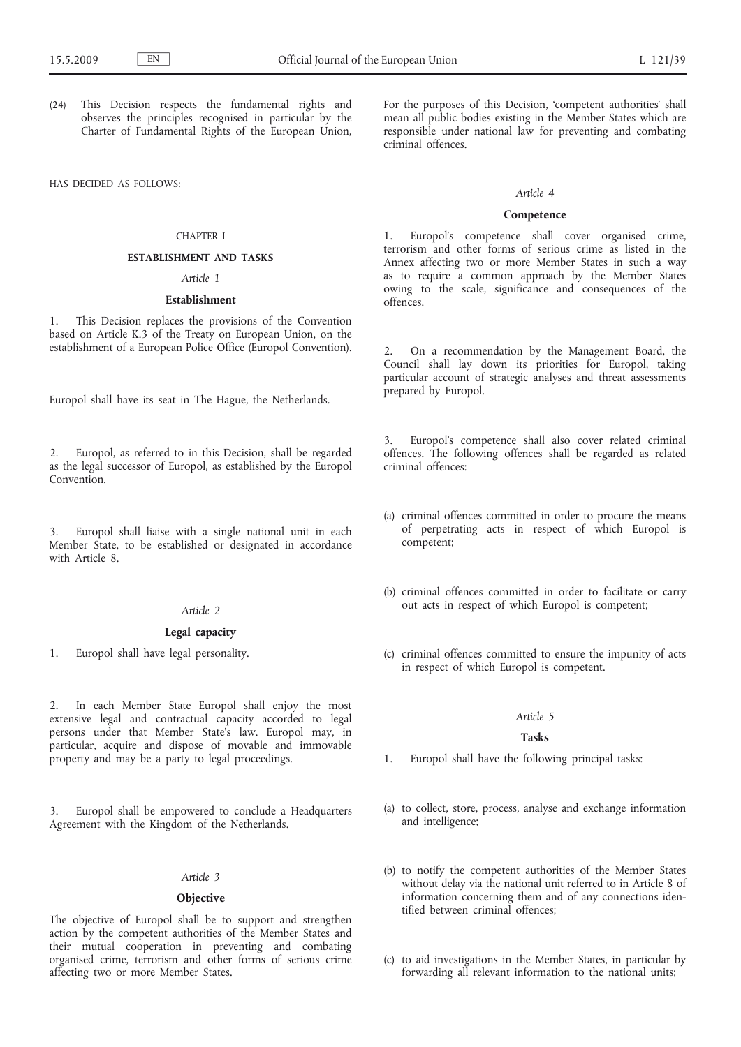(24) This Decision respects the fundamental rights and observes the principles recognised in particular by the Charter of Fundamental Rights of the European Union,

HAS DECIDED AS FOLLOWS:

# CHAPTER I

### **ESTABLISHMENT AND TASKS**

#### *Article 1*

# **Establishment**

1. This Decision replaces the provisions of the Convention based on Article K.3 of the Treaty on European Union, on the establishment of a European Police Office (Europol Convention).

Europol shall have its seat in The Hague, the Netherlands.

2. Europol, as referred to in this Decision, shall be regarded as the legal successor of Europol, as established by the Europol Convention.

3. Europol shall liaise with a single national unit in each Member State, to be established or designated in accordance with Article 8.

## *Article 2*

# **Legal capacity**

1. Europol shall have legal personality.

2. In each Member State Europol shall enjoy the most extensive legal and contractual capacity accorded to legal persons under that Member State's law. Europol may, in particular, acquire and dispose of movable and immovable property and may be a party to legal proceedings.

3. Europol shall be empowered to conclude a Headquarters Agreement with the Kingdom of the Netherlands.

# *Article 3*

### **Objective**

The objective of Europol shall be to support and strengthen action by the competent authorities of the Member States and their mutual cooperation in preventing and combating organised crime, terrorism and other forms of serious crime affecting two or more Member States.

For the purposes of this Decision, 'competent authorities' shall mean all public bodies existing in the Member States which are responsible under national law for preventing and combating criminal offences.

## *Article 4*

# **Competence**

1. Europol's competence shall cover organised crime, terrorism and other forms of serious crime as listed in the Annex affecting two or more Member States in such a way as to require a common approach by the Member States owing to the scale, significance and consequences of the offences.

2. On a recommendation by the Management Board, the Council shall lay down its priorities for Europol, taking particular account of strategic analyses and threat assessments prepared by Europol.

3. Europol's competence shall also cover related criminal offences. The following offences shall be regarded as related criminal offences:

- (a) criminal offences committed in order to procure the means of perpetrating acts in respect of which Europol is competent;
- (b) criminal offences committed in order to facilitate or carry out acts in respect of which Europol is competent;
- (c) criminal offences committed to ensure the impunity of acts in respect of which Europol is competent.

### *Article 5*

### **Tasks**

- 1. Europol shall have the following principal tasks:
- (a) to collect, store, process, analyse and exchange information and intelligence;
- (b) to notify the competent authorities of the Member States without delay via the national unit referred to in Article 8 of information concerning them and of any connections identified between criminal offences;
- (c) to aid investigations in the Member States, in particular by forwarding all relevant information to the national units;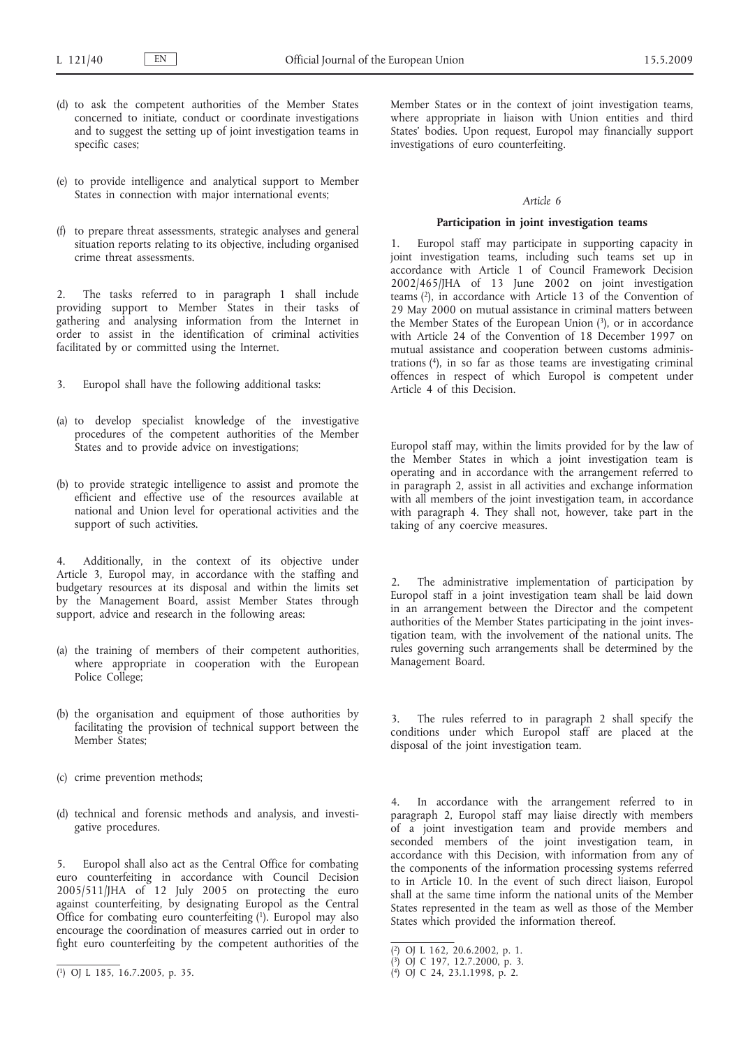- (d) to ask the competent authorities of the Member States concerned to initiate, conduct or coordinate investigations and to suggest the setting up of joint investigation teams in specific cases;
- (e) to provide intelligence and analytical support to Member States in connection with major international events;
- (f) to prepare threat assessments, strategic analyses and general situation reports relating to its objective, including organised crime threat assessments.

2. The tasks referred to in paragraph 1 shall include providing support to Member States in their tasks of gathering and analysing information from the Internet in order to assist in the identification of criminal activities facilitated by or committed using the Internet.

- 3. Europol shall have the following additional tasks:
- (a) to develop specialist knowledge of the investigative procedures of the competent authorities of the Member States and to provide advice on investigations;
- (b) to provide strategic intelligence to assist and promote the efficient and effective use of the resources available at national and Union level for operational activities and the support of such activities.

4. Additionally, in the context of its objective under Article 3, Europol may, in accordance with the staffing and budgetary resources at its disposal and within the limits set by the Management Board, assist Member States through support, advice and research in the following areas:

- (a) the training of members of their competent authorities, where appropriate in cooperation with the European Police College;
- (b) the organisation and equipment of those authorities by facilitating the provision of technical support between the Member States;
- (c) crime prevention methods;
- (d) technical and forensic methods and analysis, and investigative procedures.

5. Europol shall also act as the Central Office for combating euro counterfeiting in accordance with Council Decision 2005/511/JHA of 12 July 2005 on protecting the euro against counterfeiting, by designating Europol as the Central Office for combating euro counterfeiting (1). Europol may also encourage the coordination of measures carried out in order to fight euro counterfeiting by the competent authorities of the Member States or in the context of joint investigation teams, where appropriate in liaison with Union entities and third States' bodies. Upon request, Europol may financially support investigations of euro counterfeiting.

# *Article 6*

## **Participation in joint investigation teams**

1. Europol staff may participate in supporting capacity in joint investigation teams, including such teams set up in accordance with Article 1 of Council Framework Decision 2002/465/JHA of 13 June 2002 on joint investigation teams (2), in accordance with Article 13 of the Convention of 29 May 2000 on mutual assistance in criminal matters between the Member States of the European Union  $(3)$ , or in accordance with Article 24 of the Convention of 18 December 1997 on mutual assistance and cooperation between customs administrations  $(4)$ , in so far as those teams are investigating criminal offences in respect of which Europol is competent under Article 4 of this Decision.

Europol staff may, within the limits provided for by the law of the Member States in which a joint investigation team is operating and in accordance with the arrangement referred to in paragraph 2, assist in all activities and exchange information with all members of the joint investigation team, in accordance with paragraph 4. They shall not, however, take part in the taking of any coercive measures.

The administrative implementation of participation by Europol staff in a joint investigation team shall be laid down in an arrangement between the Director and the competent authorities of the Member States participating in the joint investigation team, with the involvement of the national units. The rules governing such arrangements shall be determined by the Management Board.

The rules referred to in paragraph 2 shall specify the conditions under which Europol staff are placed at the disposal of the joint investigation team.

4. In accordance with the arrangement referred to in paragraph 2, Europol staff may liaise directly with members of a joint investigation team and provide members and seconded members of the joint investigation team, in accordance with this Decision, with information from any of the components of the information processing systems referred to in Article 10. In the event of such direct liaison, Europol shall at the same time inform the national units of the Member States represented in the team as well as those of the Member States which provided the information thereof.

<sup>(</sup> 1) OJ L 185, 16.7.2005, p. 35.

<sup>(</sup> 2) OJ L 162, 20.6.2002, p. 1.

<sup>(</sup> 3) OJ C 197, 12.7.2000, p. 3.

<sup>(</sup> 4) OJ C 24, 23.1.1998, p. 2.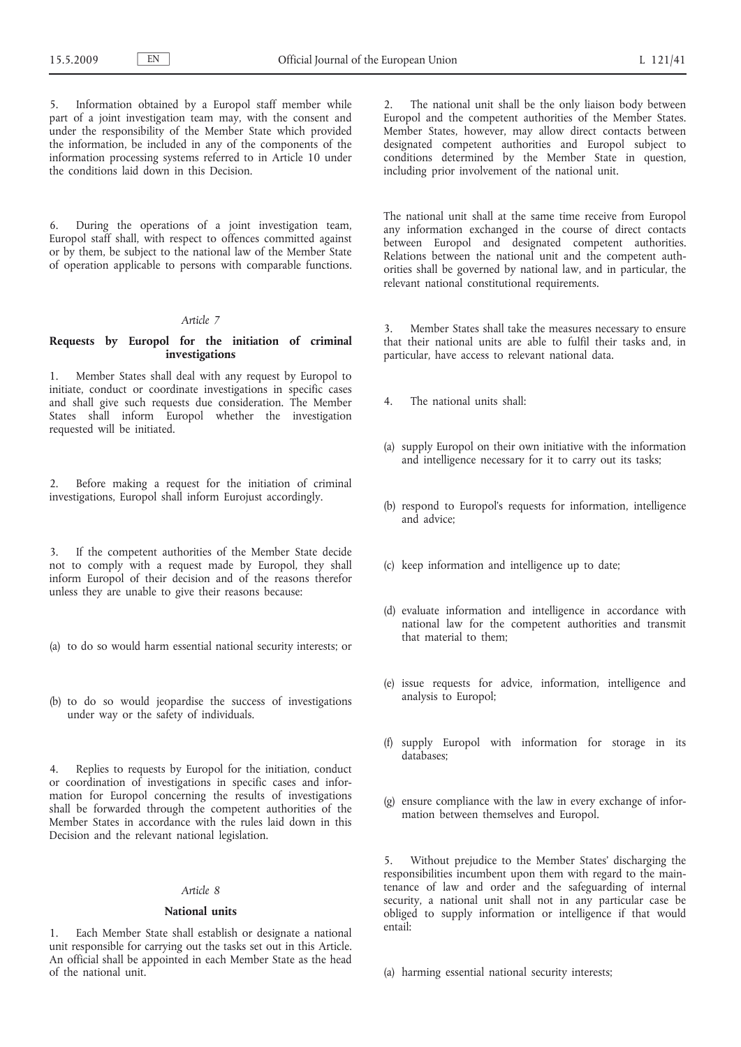Information obtained by a Europol staff member while part of a joint investigation team may, with the consent and under the responsibility of the Member State which provided the information, be included in any of the components of the information processing systems referred to in Article 10 under the conditions laid down in this Decision.

6. During the operations of a joint investigation team, Europol staff shall, with respect to offences committed against or by them, be subject to the national law of the Member State of operation applicable to persons with comparable functions.

# *Article 7*

# **Requests by Europol for the initiation of criminal investigations**

1. Member States shall deal with any request by Europol to initiate, conduct or coordinate investigations in specific cases and shall give such requests due consideration. The Member States shall inform Europol whether the investigation requested will be initiated.

2. Before making a request for the initiation of criminal investigations, Europol shall inform Eurojust accordingly.

3. If the competent authorities of the Member State decide not to comply with a request made by Europol, they shall inform Europol of their decision and of the reasons therefor unless they are unable to give their reasons because:

- (a) to do so would harm essential national security interests; or
- (b) to do so would jeopardise the success of investigations under way or the safety of individuals.

4. Replies to requests by Europol for the initiation, conduct or coordination of investigations in specific cases and information for Europol concerning the results of investigations shall be forwarded through the competent authorities of the Member States in accordance with the rules laid down in this Decision and the relevant national legislation.

### *Article 8*

### **National units**

1. Each Member State shall establish or designate a national unit responsible for carrying out the tasks set out in this Article. An official shall be appointed in each Member State as the head of the national unit.

The national unit shall be the only liaison body between Europol and the competent authorities of the Member States. Member States, however, may allow direct contacts between designated competent authorities and Europol subject to conditions determined by the Member State in question, including prior involvement of the national unit.

The national unit shall at the same time receive from Europol any information exchanged in the course of direct contacts between Europol and designated competent authorities. Relations between the national unit and the competent authorities shall be governed by national law, and in particular, the relevant national constitutional requirements.

3. Member States shall take the measures necessary to ensure that their national units are able to fulfil their tasks and, in particular, have access to relevant national data.

- 4. The national units shall:
- (a) supply Europol on their own initiative with the information and intelligence necessary for it to carry out its tasks;
- (b) respond to Europol's requests for information, intelligence and advice;
- (c) keep information and intelligence up to date;
- (d) evaluate information and intelligence in accordance with national law for the competent authorities and transmit that material to them;
- (e) issue requests for advice, information, intelligence and analysis to Europol;
- (f) supply Europol with information for storage in its databases;
- (g) ensure compliance with the law in every exchange of information between themselves and Europol.

5. Without prejudice to the Member States' discharging the responsibilities incumbent upon them with regard to the maintenance of law and order and the safeguarding of internal security, a national unit shall not in any particular case be obliged to supply information or intelligence if that would entail:

(a) harming essential national security interests;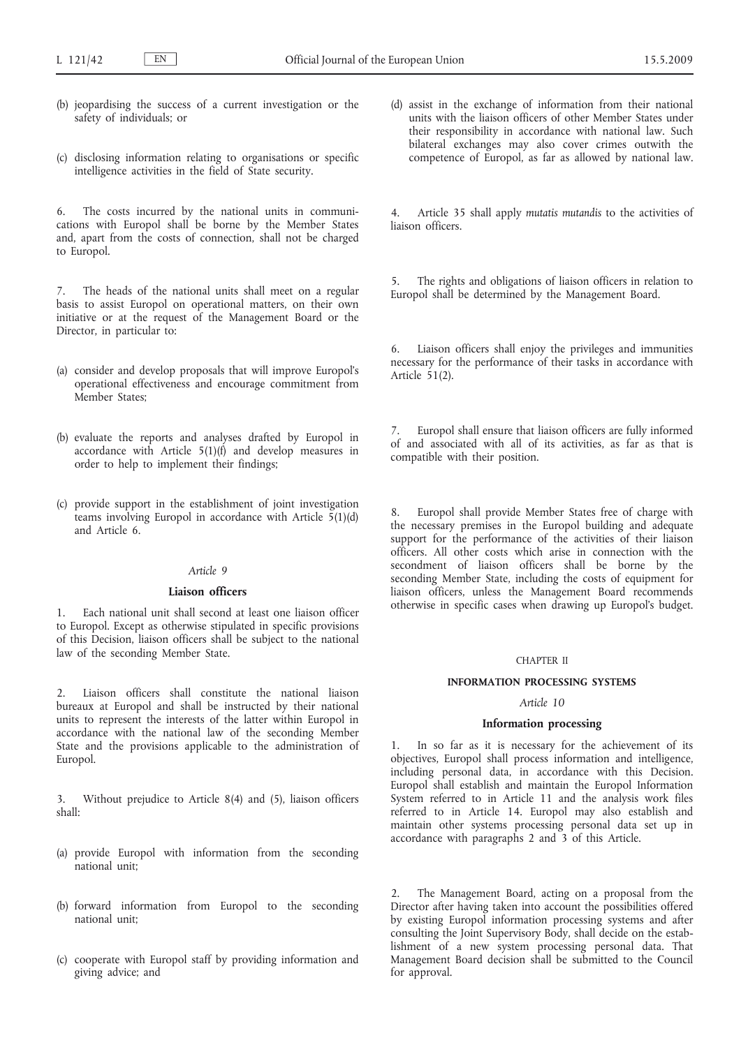- (b) jeopardising the success of a current investigation or the safety of individuals; or
- (c) disclosing information relating to organisations or specific intelligence activities in the field of State security.

6. The costs incurred by the national units in communications with Europol shall be borne by the Member States and, apart from the costs of connection, shall not be charged to Europol.

7. The heads of the national units shall meet on a regular basis to assist Europol on operational matters, on their own initiative or at the request of the Management Board or the Director, in particular to:

- (a) consider and develop proposals that will improve Europol's operational effectiveness and encourage commitment from Member States;
- (b) evaluate the reports and analyses drafted by Europol in accordance with Article  $5(1)(f)$  and develop measures in order to help to implement their findings;
- (c) provide support in the establishment of joint investigation teams involving Europol in accordance with Article  $\bar{5}(1)(d)$ and Article 6.

# *Article 9*

# **Liaison officers**

Each national unit shall second at least one liaison officer to Europol. Except as otherwise stipulated in specific provisions of this Decision, liaison officers shall be subject to the national law of the seconding Member State.

2. Liaison officers shall constitute the national liaison bureaux at Europol and shall be instructed by their national units to represent the interests of the latter within Europol in accordance with the national law of the seconding Member State and the provisions applicable to the administration of Europol.

3. Without prejudice to Article 8(4) and (5), liaison officers shall:

- (a) provide Europol with information from the seconding national unit;
- (b) forward information from Europol to the seconding national unit;
- (c) cooperate with Europol staff by providing information and giving advice; and

(d) assist in the exchange of information from their national units with the liaison officers of other Member States under their responsibility in accordance with national law. Such bilateral exchanges may also cover crimes outwith the competence of Europol, as far as allowed by national law.

4. Article 35 shall apply *mutatis mutandis* to the activities of liaison officers.

5. The rights and obligations of liaison officers in relation to Europol shall be determined by the Management Board.

6. Liaison officers shall enjoy the privileges and immunities necessary for the performance of their tasks in accordance with Article 51(2).

Europol shall ensure that liaison officers are fully informed of and associated with all of its activities, as far as that is compatible with their position.

Europol shall provide Member States free of charge with the necessary premises in the Europol building and adequate support for the performance of the activities of their liaison officers. All other costs which arise in connection with the secondment of liaison officers shall be borne by the seconding Member State, including the costs of equipment for liaison officers, unless the Management Board recommends otherwise in specific cases when drawing up Europol's budget.

### CHAPTER II

# **INFORMATION PROCESSING SYSTEMS**

# *Article 10*

### **Information processing**

In so far as it is necessary for the achievement of its objectives, Europol shall process information and intelligence, including personal data, in accordance with this Decision. Europol shall establish and maintain the Europol Information System referred to in Article 11 and the analysis work files referred to in Article 14. Europol may also establish and maintain other systems processing personal data set up in accordance with paragraphs 2 and 3 of this Article.

The Management Board, acting on a proposal from the Director after having taken into account the possibilities offered by existing Europol information processing systems and after consulting the Joint Supervisory Body, shall decide on the establishment of a new system processing personal data. That Management Board decision shall be submitted to the Council for approval.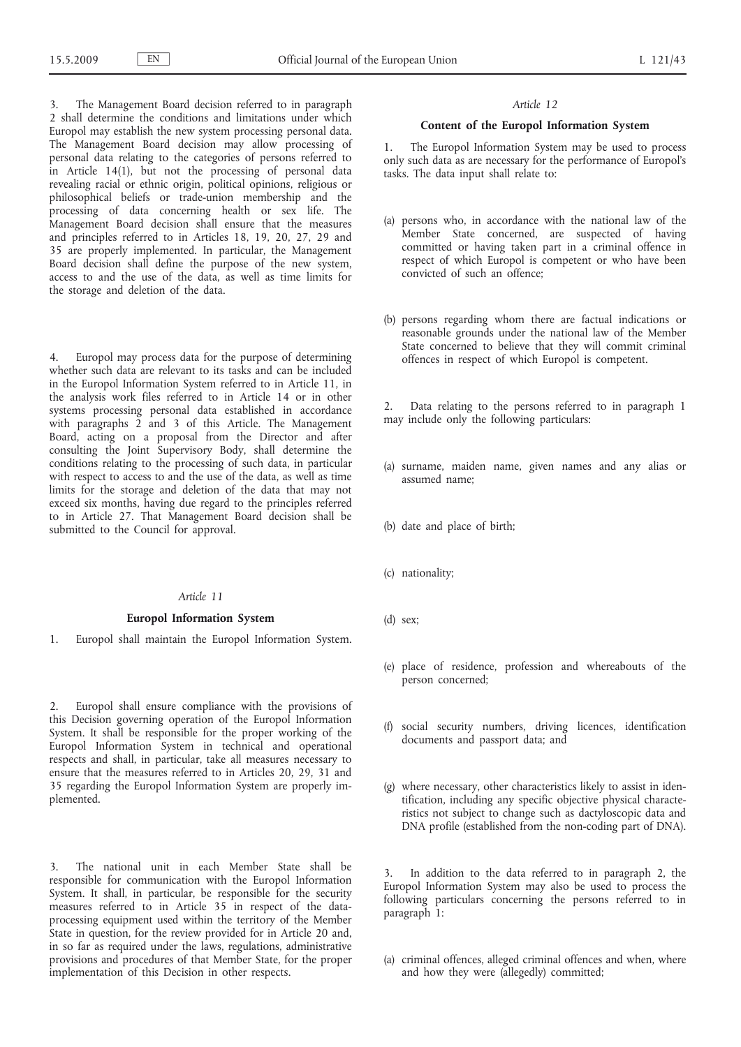The Management Board decision referred to in paragraph 2 shall determine the conditions and limitations under which Europol may establish the new system processing personal data. The Management Board decision may allow processing of personal data relating to the categories of persons referred to in Article 14(1), but not the processing of personal data revealing racial or ethnic origin, political opinions, religious or philosophical beliefs or trade-union membership and the processing of data concerning health or sex life. The Management Board decision shall ensure that the measures and principles referred to in Articles 18, 19, 20, 27, 29 and 35 are properly implemented. In particular, the Management Board decision shall define the purpose of the new system, access to and the use of the data, as well as time limits for the storage and deletion of the data.

4. Europol may process data for the purpose of determining whether such data are relevant to its tasks and can be included in the Europol Information System referred to in Article 11, in the analysis work files referred to in Article 14 or in other systems processing personal data established in accordance with paragraphs 2 and 3 of this Article. The Management Board, acting on a proposal from the Director and after consulting the Joint Supervisory Body, shall determine the conditions relating to the processing of such data, in particular with respect to access to and the use of the data, as well as time limits for the storage and deletion of the data that may not exceed six months, having due regard to the principles referred to in Article 27. That Management Board decision shall be submitted to the Council for approval.

# *Article 11*

# **Europol Information System**

1. Europol shall maintain the Europol Information System.

2. Europol shall ensure compliance with the provisions of this Decision governing operation of the Europol Information System. It shall be responsible for the proper working of the Europol Information System in technical and operational respects and shall, in particular, take all measures necessary to ensure that the measures referred to in Articles 20, 29, 31 and 35 regarding the Europol Information System are properly implemented.

3. The national unit in each Member State shall be responsible for communication with the Europol Information System. It shall, in particular, be responsible for the security measures referred to in Article 35 in respect of the dataprocessing equipment used within the territory of the Member State in question, for the review provided for in Article 20 and, in so far as required under the laws, regulations, administrative provisions and procedures of that Member State, for the proper implementation of this Decision in other respects.

#### *Article 12*

# **Content of the Europol Information System**

1. The Europol Information System may be used to process only such data as are necessary for the performance of Europol's tasks. The data input shall relate to:

- (a) persons who, in accordance with the national law of the Member State concerned, are suspected of having committed or having taken part in a criminal offence in respect of which Europol is competent or who have been convicted of such an offence;
- (b) persons regarding whom there are factual indications or reasonable grounds under the national law of the Member State concerned to believe that they will commit criminal offences in respect of which Europol is competent.

2. Data relating to the persons referred to in paragraph 1 may include only the following particulars:

- (a) surname, maiden name, given names and any alias or assumed name;
- (b) date and place of birth;
- (c) nationality;
- (d) sex;
- (e) place of residence, profession and whereabouts of the person concerned;
- (f) social security numbers, driving licences, identification documents and passport data; and
- (g) where necessary, other characteristics likely to assist in identification, including any specific objective physical characteristics not subject to change such as dactyloscopic data and DNA profile (established from the non-coding part of DNA).

3. In addition to the data referred to in paragraph 2, the Europol Information System may also be used to process the following particulars concerning the persons referred to in paragraph 1:

(a) criminal offences, alleged criminal offences and when, where and how they were (allegedly) committed;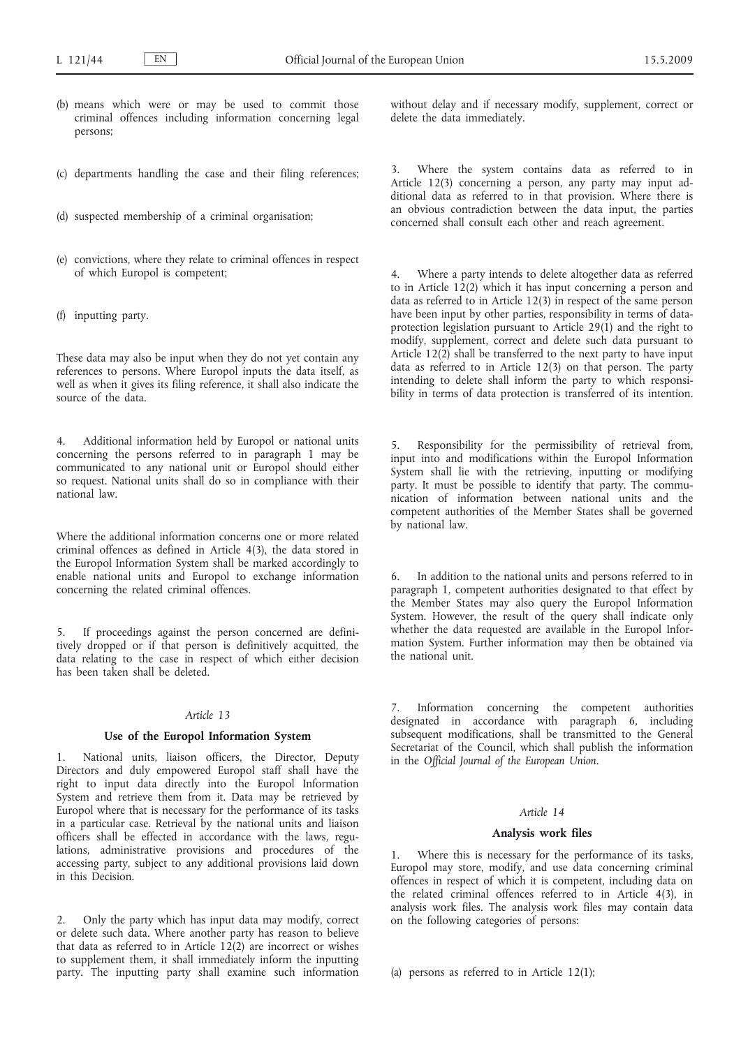- (b) means which were or may be used to commit those criminal offences including information concerning legal persons;
- (c) departments handling the case and their filing references;
- (d) suspected membership of a criminal organisation;
- (e) convictions, where they relate to criminal offences in respect of which Europol is competent;
- (f) inputting party.

These data may also be input when they do not yet contain any references to persons. Where Europol inputs the data itself, as well as when it gives its filing reference, it shall also indicate the source of the data.

4. Additional information held by Europol or national units concerning the persons referred to in paragraph 1 may be communicated to any national unit or Europol should either so request. National units shall do so in compliance with their national law.

Where the additional information concerns one or more related criminal offences as defined in Article 4(3), the data stored in the Europol Information System shall be marked accordingly to enable national units and Europol to exchange information concerning the related criminal offences.

5. If proceedings against the person concerned are definitively dropped or if that person is definitively acquitted, the data relating to the case in respect of which either decision has been taken shall be deleted.

#### *Article 13*

### **Use of the Europol Information System**

National units, liaison officers, the Director, Deputy Directors and duly empowered Europol staff shall have the right to input data directly into the Europol Information System and retrieve them from it. Data may be retrieved by Europol where that is necessary for the performance of its tasks in a particular case. Retrieval by the national units and liaison officers shall be effected in accordance with the laws, regulations, administrative provisions and procedures of the accessing party, subject to any additional provisions laid down in this Decision.

2. Only the party which has input data may modify, correct or delete such data. Where another party has reason to believe that data as referred to in Article  $12(2)$  are incorrect or wishes to supplement them, it shall immediately inform the inputting party. The inputting party shall examine such information without delay and if necessary modify, supplement, correct or delete the data immediately.

3. Where the system contains data as referred to in Article 12(3) concerning a person, any party may input additional data as referred to in that provision. Where there is an obvious contradiction between the data input, the parties concerned shall consult each other and reach agreement.

4. Where a party intends to delete altogether data as referred to in Article  $12(2)$  which it has input concerning a person and data as referred to in Article 12(3) in respect of the same person have been input by other parties, responsibility in terms of dataprotection legislation pursuant to Article 29(1) and the right to modify, supplement, correct and delete such data pursuant to Article  $12(2)$  shall be transferred to the next party to have input data as referred to in Article 12(3) on that person. The party intending to delete shall inform the party to which responsibility in terms of data protection is transferred of its intention.

Responsibility for the permissibility of retrieval from, input into and modifications within the Europol Information System shall lie with the retrieving, inputting or modifying party. It must be possible to identify that party. The communication of information between national units and the competent authorities of the Member States shall be governed by national law.

In addition to the national units and persons referred to in paragraph 1, competent authorities designated to that effect by the Member States may also query the Europol Information System. However, the result of the query shall indicate only whether the data requested are available in the Europol Information System. Further information may then be obtained via the national unit.

Information concerning the competent authorities designated in accordance with paragraph 6, including subsequent modifications, shall be transmitted to the General Secretariat of the Council, which shall publish the information in the *Official Journal of the European Union*.

# *Article 14*

### **Analysis work files**

Where this is necessary for the performance of its tasks, Europol may store, modify, and use data concerning criminal offences in respect of which it is competent, including data on the related criminal offences referred to in Article 4(3), in analysis work files. The analysis work files may contain data on the following categories of persons:

(a) persons as referred to in Article 12(1);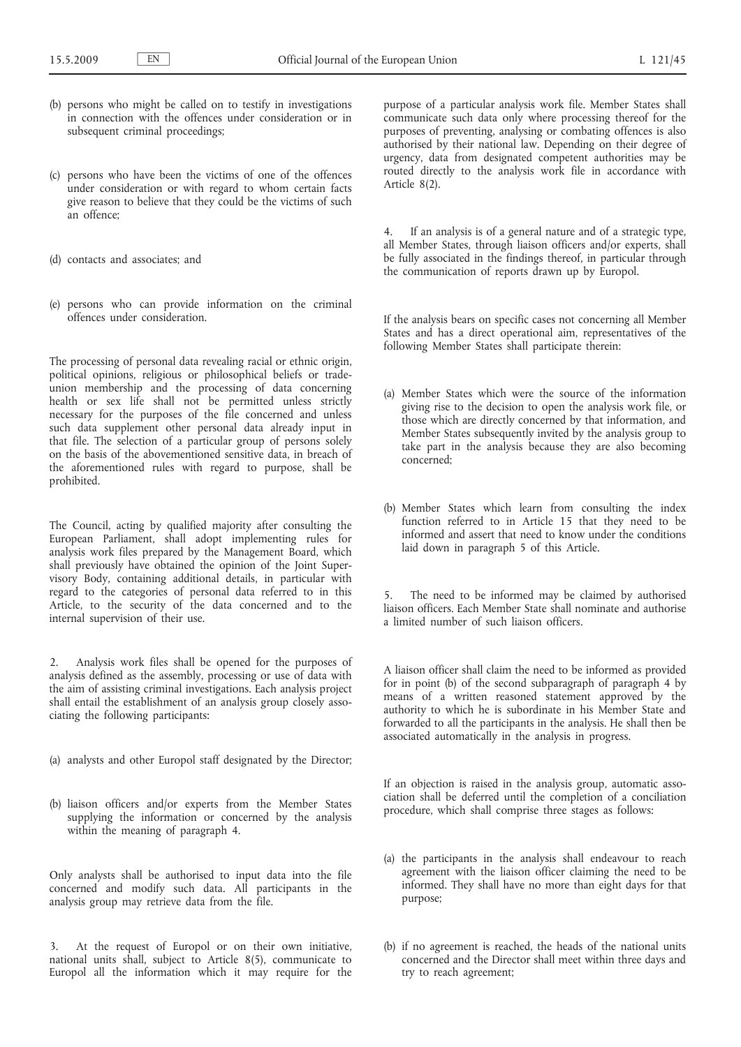- (b) persons who might be called on to testify in investigations in connection with the offences under consideration or in subsequent criminal proceedings;
- (c) persons who have been the victims of one of the offences under consideration or with regard to whom certain facts give reason to believe that they could be the victims of such an offence;
- (d) contacts and associates; and
- (e) persons who can provide information on the criminal offences under consideration.

The processing of personal data revealing racial or ethnic origin, political opinions, religious or philosophical beliefs or tradeunion membership and the processing of data concerning health or sex life shall not be permitted unless strictly necessary for the purposes of the file concerned and unless such data supplement other personal data already input in that file. The selection of a particular group of persons solely on the basis of the abovementioned sensitive data, in breach of the aforementioned rules with regard to purpose, shall be prohibited.

The Council, acting by qualified majority after consulting the European Parliament, shall adopt implementing rules for analysis work files prepared by the Management Board, which shall previously have obtained the opinion of the Joint Supervisory Body, containing additional details, in particular with regard to the categories of personal data referred to in this Article, to the security of the data concerned and to the internal supervision of their use.

2. Analysis work files shall be opened for the purposes of analysis defined as the assembly, processing or use of data with the aim of assisting criminal investigations. Each analysis project shall entail the establishment of an analysis group closely associating the following participants:

- (a) analysts and other Europol staff designated by the Director;
- (b) liaison officers and/or experts from the Member States supplying the information or concerned by the analysis within the meaning of paragraph 4.

Only analysts shall be authorised to input data into the file concerned and modify such data. All participants in the analysis group may retrieve data from the file.

3. At the request of Europol or on their own initiative, national units shall, subject to Article 8(5), communicate to Europol all the information which it may require for the purpose of a particular analysis work file. Member States shall communicate such data only where processing thereof for the purposes of preventing, analysing or combating offences is also authorised by their national law. Depending on their degree of urgency, data from designated competent authorities may be routed directly to the analysis work file in accordance with Article 8(2).

If an analysis is of a general nature and of a strategic type, all Member States, through liaison officers and/or experts, shall be fully associated in the findings thereof, in particular through the communication of reports drawn up by Europol.

If the analysis bears on specific cases not concerning all Member States and has a direct operational aim, representatives of the following Member States shall participate therein:

- (a) Member States which were the source of the information giving rise to the decision to open the analysis work file, or those which are directly concerned by that information, and Member States subsequently invited by the analysis group to take part in the analysis because they are also becoming concerned;
- (b) Member States which learn from consulting the index function referred to in Article 15 that they need to be informed and assert that need to know under the conditions laid down in paragraph 5 of this Article.

5. The need to be informed may be claimed by authorised liaison officers. Each Member State shall nominate and authorise a limited number of such liaison officers.

A liaison officer shall claim the need to be informed as provided for in point (b) of the second subparagraph of paragraph 4 by means of a written reasoned statement approved by the authority to which he is subordinate in his Member State and forwarded to all the participants in the analysis. He shall then be associated automatically in the analysis in progress.

If an objection is raised in the analysis group, automatic association shall be deferred until the completion of a conciliation procedure, which shall comprise three stages as follows:

- (a) the participants in the analysis shall endeavour to reach agreement with the liaison officer claiming the need to be informed. They shall have no more than eight days for that purpose;
- (b) if no agreement is reached, the heads of the national units concerned and the Director shall meet within three days and try to reach agreement;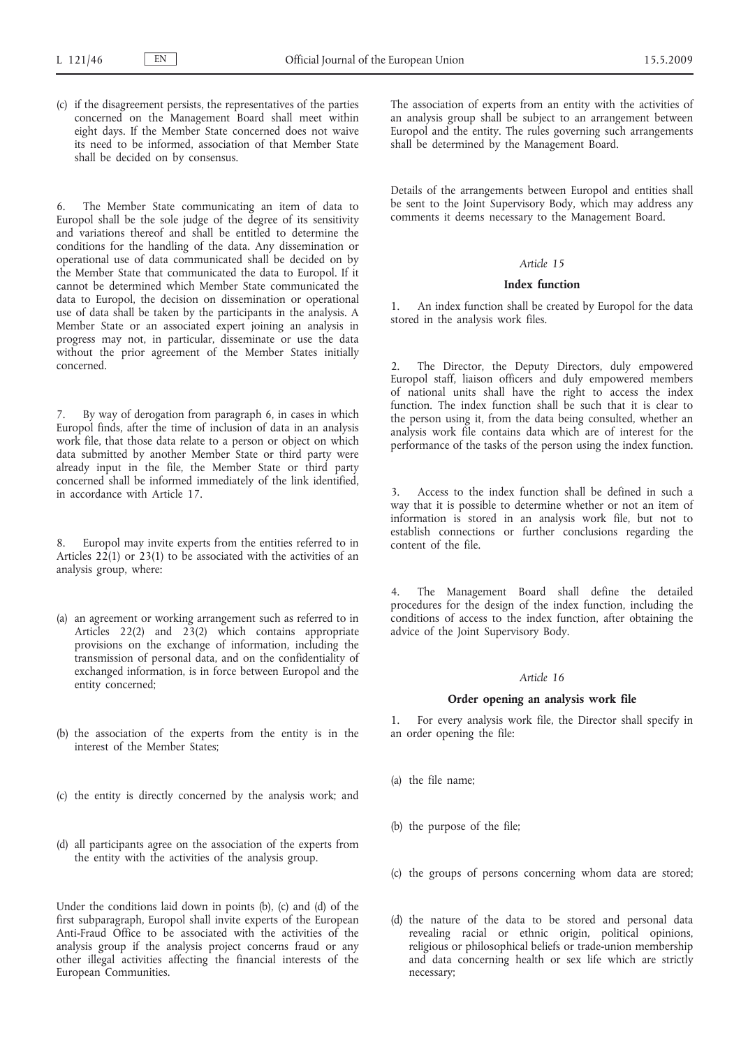(c) if the disagreement persists, the representatives of the parties concerned on the Management Board shall meet within eight days. If the Member State concerned does not waive its need to be informed, association of that Member State shall be decided on by consensus.

6. The Member State communicating an item of data to Europol shall be the sole judge of the degree of its sensitivity and variations thereof and shall be entitled to determine the conditions for the handling of the data. Any dissemination or operational use of data communicated shall be decided on by the Member State that communicated the data to Europol. If it cannot be determined which Member State communicated the data to Europol, the decision on dissemination or operational use of data shall be taken by the participants in the analysis. A Member State or an associated expert joining an analysis in progress may not, in particular, disseminate or use the data without the prior agreement of the Member States initially concerned.

By way of derogation from paragraph 6, in cases in which Europol finds, after the time of inclusion of data in an analysis work file, that those data relate to a person or object on which data submitted by another Member State or third party were already input in the file, the Member State or third party concerned shall be informed immediately of the link identified, in accordance with Article 17.

8. Europol may invite experts from the entities referred to in Articles  $22(1)$  or  $23(1)$  to be associated with the activities of an analysis group, where:

- (a) an agreement or working arrangement such as referred to in Articles 22(2) and 23(2) which contains appropriate provisions on the exchange of information, including the transmission of personal data, and on the confidentiality of exchanged information, is in force between Europol and the entity concerned;
- (b) the association of the experts from the entity is in the interest of the Member States;
- (c) the entity is directly concerned by the analysis work; and
- (d) all participants agree on the association of the experts from the entity with the activities of the analysis group.

Under the conditions laid down in points (b), (c) and (d) of the first subparagraph, Europol shall invite experts of the European Anti-Fraud Office to be associated with the activities of the analysis group if the analysis project concerns fraud or any other illegal activities affecting the financial interests of the European Communities.

The association of experts from an entity with the activities of an analysis group shall be subject to an arrangement between Europol and the entity. The rules governing such arrangements shall be determined by the Management Board.

Details of the arrangements between Europol and entities shall be sent to the Joint Supervisory Body, which may address any comments it deems necessary to the Management Board.

# *Article 15*

## **Index function**

An index function shall be created by Europol for the data stored in the analysis work files.

The Director, the Deputy Directors, duly empowered Europol staff, liaison officers and duly empowered members of national units shall have the right to access the index function. The index function shall be such that it is clear to the person using it, from the data being consulted, whether an analysis work file contains data which are of interest for the performance of the tasks of the person using the index function.

Access to the index function shall be defined in such a way that it is possible to determine whether or not an item of information is stored in an analysis work file, but not to establish connections or further conclusions regarding the content of the file.

The Management Board shall define the detailed procedures for the design of the index function, including the conditions of access to the index function, after obtaining the advice of the Joint Supervisory Body.

# *Article 16*

# **Order opening an analysis work file**

1. For every analysis work file, the Director shall specify in an order opening the file:

- (a) the file name;
- (b) the purpose of the file;
- (c) the groups of persons concerning whom data are stored;
- (d) the nature of the data to be stored and personal data revealing racial or ethnic origin, political opinions, religious or philosophical beliefs or trade-union membership and data concerning health or sex life which are strictly necessary;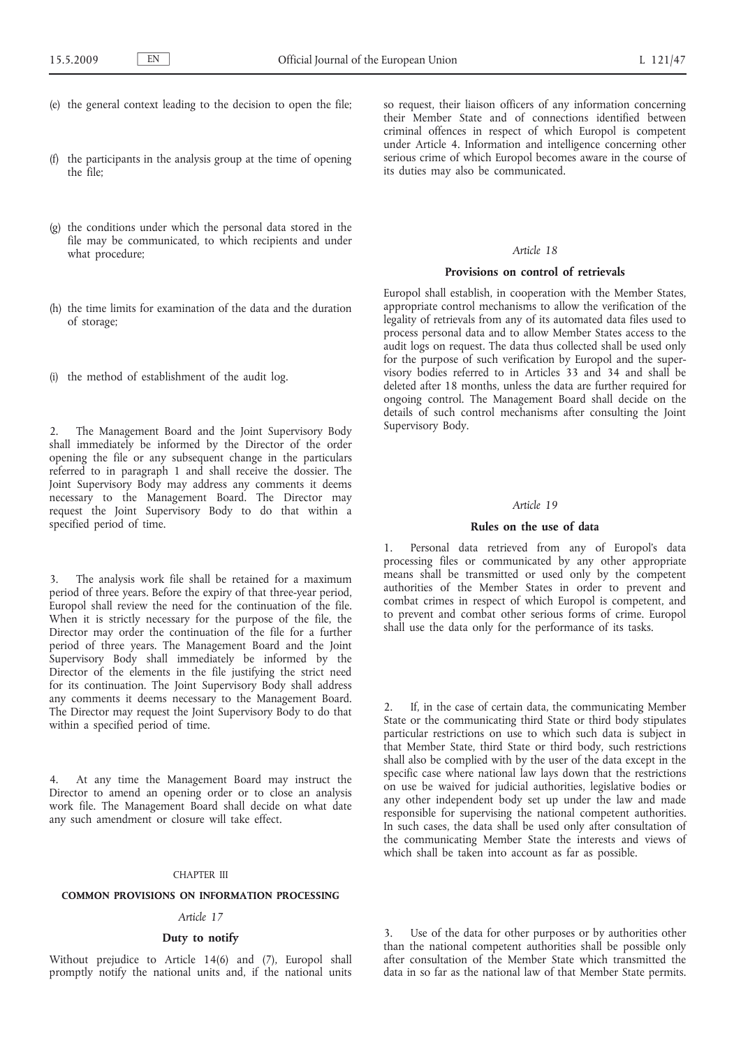- (e) the general context leading to the decision to open the file;
- (f) the participants in the analysis group at the time of opening the file;
- (g) the conditions under which the personal data stored in the file may be communicated, to which recipients and under what procedure;
- (h) the time limits for examination of the data and the duration of storage;
- (i) the method of establishment of the audit log.

The Management Board and the Joint Supervisory Body shall immediately be informed by the Director of the order opening the file or any subsequent change in the particulars referred to in paragraph 1 and shall receive the dossier. The Joint Supervisory Body may address any comments it deems necessary to the Management Board. The Director may request the Joint Supervisory Body to do that within a specified period of time.

The analysis work file shall be retained for a maximum period of three years. Before the expiry of that three-year period, Europol shall review the need for the continuation of the file. When it is strictly necessary for the purpose of the file, the Director may order the continuation of the file for a further period of three years. The Management Board and the Joint Supervisory Body shall immediately be informed by the Director of the elements in the file justifying the strict need for its continuation. The Joint Supervisory Body shall address any comments it deems necessary to the Management Board. The Director may request the Joint Supervisory Body to do that within a specified period of time.

4. At any time the Management Board may instruct the Director to amend an opening order or to close an analysis work file. The Management Board shall decide on what date any such amendment or closure will take effect.

### CHAPTER III

# **COMMON PROVISIONS ON INFORMATION PROCESSING**

## *Article 17*

## **Duty to notify**

Without prejudice to Article 14(6) and (7), Europol shall promptly notify the national units and, if the national units so request, their liaison officers of any information concerning their Member State and of connections identified between criminal offences in respect of which Europol is competent under Article 4. Information and intelligence concerning other serious crime of which Europol becomes aware in the course of its duties may also be communicated.

#### *Article 18*

#### **Provisions on control of retrievals**

Europol shall establish, in cooperation with the Member States, appropriate control mechanisms to allow the verification of the legality of retrievals from any of its automated data files used to process personal data and to allow Member States access to the audit logs on request. The data thus collected shall be used only for the purpose of such verification by Europol and the supervisory bodies referred to in Articles 33 and 34 and shall be deleted after 18 months, unless the data are further required for ongoing control. The Management Board shall decide on the details of such control mechanisms after consulting the Joint Supervisory Body.

### *Article 19*

# **Rules on the use of data**

1. Personal data retrieved from any of Europol's data processing files or communicated by any other appropriate means shall be transmitted or used only by the competent authorities of the Member States in order to prevent and combat crimes in respect of which Europol is competent, and to prevent and combat other serious forms of crime. Europol shall use the data only for the performance of its tasks.

If, in the case of certain data, the communicating Member State or the communicating third State or third body stipulates particular restrictions on use to which such data is subject in that Member State, third State or third body, such restrictions shall also be complied with by the user of the data except in the specific case where national law lays down that the restrictions on use be waived for judicial authorities, legislative bodies or any other independent body set up under the law and made responsible for supervising the national competent authorities. In such cases, the data shall be used only after consultation of the communicating Member State the interests and views of which shall be taken into account as far as possible.

3. Use of the data for other purposes or by authorities other than the national competent authorities shall be possible only after consultation of the Member State which transmitted the data in so far as the national law of that Member State permits.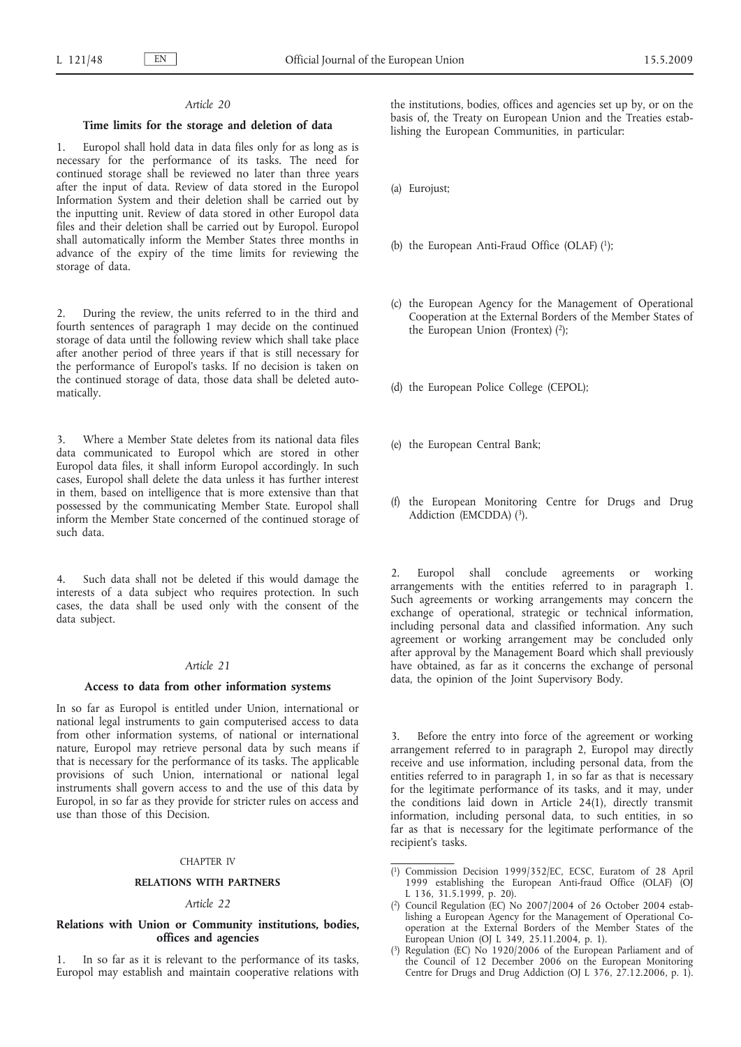#### *Article 20*

# **Time limits for the storage and deletion of data**

1. Europol shall hold data in data files only for as long as is necessary for the performance of its tasks. The need for continued storage shall be reviewed no later than three years after the input of data. Review of data stored in the Europol Information System and their deletion shall be carried out by the inputting unit. Review of data stored in other Europol data files and their deletion shall be carried out by Europol. Europol shall automatically inform the Member States three months in advance of the expiry of the time limits for reviewing the storage of data.

During the review, the units referred to in the third and fourth sentences of paragraph 1 may decide on the continued storage of data until the following review which shall take place after another period of three years if that is still necessary for the performance of Europol's tasks. If no decision is taken on the continued storage of data, those data shall be deleted automatically.

3. Where a Member State deletes from its national data files data communicated to Europol which are stored in other Europol data files, it shall inform Europol accordingly. In such cases, Europol shall delete the data unless it has further interest in them, based on intelligence that is more extensive than that possessed by the communicating Member State. Europol shall inform the Member State concerned of the continued storage of such data.

4. Such data shall not be deleted if this would damage the interests of a data subject who requires protection. In such cases, the data shall be used only with the consent of the data subject.

#### *Article 21*

### **Access to data from other information systems**

In so far as Europol is entitled under Union, international or national legal instruments to gain computerised access to data from other information systems, of national or international nature, Europol may retrieve personal data by such means if that is necessary for the performance of its tasks. The applicable provisions of such Union, international or national legal instruments shall govern access to and the use of this data by Europol, in so far as they provide for stricter rules on access and use than those of this Decision.

# CHAPTER IV

#### **RELATIONS WITH PARTNERS**

### *Article 22*

# **Relations with Union or Community institutions, bodies, offices and agencies**

1. In so far as it is relevant to the performance of its tasks, Europol may establish and maintain cooperative relations with the institutions, bodies, offices and agencies set up by, or on the basis of, the Treaty on European Union and the Treaties establishing the European Communities, in particular:

(a) Eurojust;

- (b) the European Anti-Fraud Office (OLAF) (1);
- (c) the European Agency for the Management of Operational Cooperation at the External Borders of the Member States of the European Union (Frontex)  $(2)$ ;
- (d) the European Police College (CEPOL);
- (e) the European Central Bank;
- (f) the European Monitoring Centre for Drugs and Drug Addiction (EMCDDA)  $(3)$ .

2. Europol shall conclude agreements or working arrangements with the entities referred to in paragraph 1. Such agreements or working arrangements may concern the exchange of operational, strategic or technical information, including personal data and classified information. Any such agreement or working arrangement may be concluded only after approval by the Management Board which shall previously have obtained, as far as it concerns the exchange of personal data, the opinion of the Joint Supervisory Body.

Before the entry into force of the agreement or working arrangement referred to in paragraph 2, Europol may directly receive and use information, including personal data, from the entities referred to in paragraph 1, in so far as that is necessary for the legitimate performance of its tasks, and it may, under the conditions laid down in Article 24(1), directly transmit information, including personal data, to such entities, in so far as that is necessary for the legitimate performance of the recipient's tasks.

<sup>(</sup> 1) Commission Decision 1999/352/EC, ECSC, Euratom of 28 April 1999 establishing the European Anti-fraud Office (OLAF) (OJ L 136, 31.5.1999, p. 20).

<sup>(</sup> 2) Council Regulation (EC) No 2007/2004 of 26 October 2004 establishing a European Agency for the Management of Operational Cooperation at the External Borders of the Member States of the European Union (OJ L 349, 25.11.2004, p. 1).

<sup>(</sup> 3) Regulation (EC) No 1920/2006 of the European Parliament and of the Council of 12 December 2006 on the European Monitoring Centre for Drugs and Drug Addiction (OJ L 376, 27.12.2006, p. 1).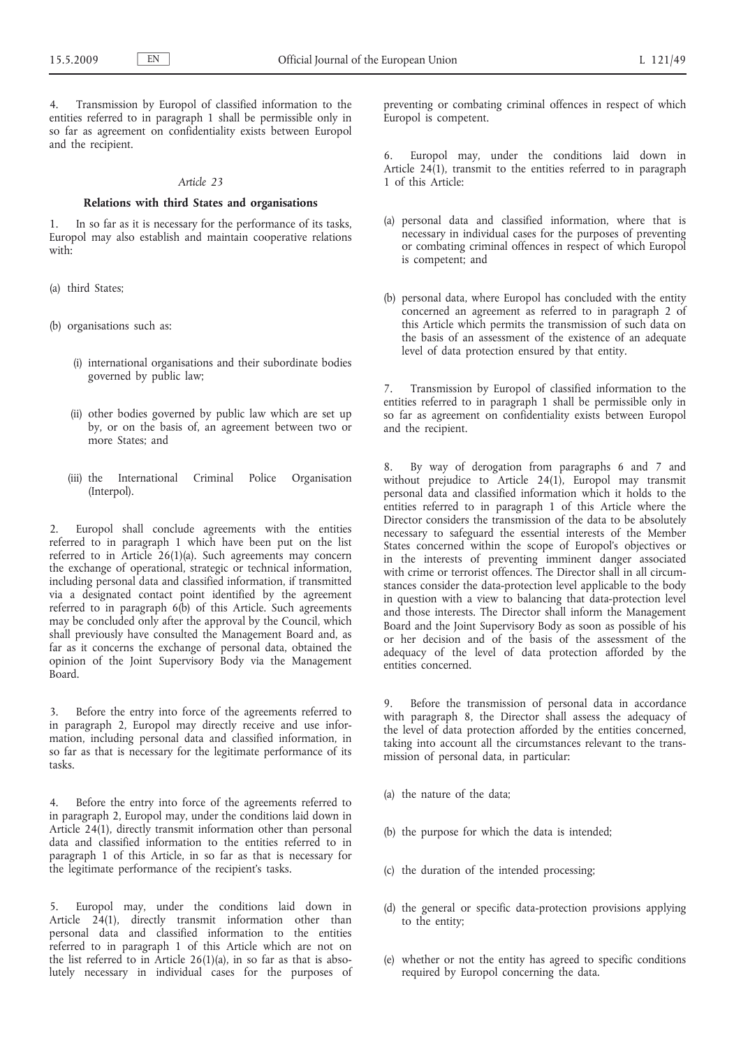Transmission by Europol of classified information to the entities referred to in paragraph 1 shall be permissible only in so far as agreement on confidentiality exists between Europol and the recipient.

#### *Article 23*

## **Relations with third States and organisations**

1. In so far as it is necessary for the performance of its tasks, Europol may also establish and maintain cooperative relations with:

- (a) third States;
- (b) organisations such as:
	- (i) international organisations and their subordinate bodies governed by public law;
	- (ii) other bodies governed by public law which are set up by, or on the basis of, an agreement between two or more States; and
	- (iii) the International Criminal Police Organisation (Interpol).

2. Europol shall conclude agreements with the entities referred to in paragraph 1 which have been put on the list referred to in Article 26(1)(a). Such agreements may concern the exchange of operational, strategic or technical information, including personal data and classified information, if transmitted via a designated contact point identified by the agreement referred to in paragraph  $6(b)$  of this Article. Such agreements may be concluded only after the approval by the Council, which shall previously have consulted the Management Board and, as far as it concerns the exchange of personal data, obtained the opinion of the Joint Supervisory Body via the Management Board.

3. Before the entry into force of the agreements referred to in paragraph 2, Europol may directly receive and use information, including personal data and classified information, in so far as that is necessary for the legitimate performance of its tasks.

4. Before the entry into force of the agreements referred to in paragraph 2, Europol may, under the conditions laid down in Article  $24(1)$ , directly transmit information other than personal data and classified information to the entities referred to in paragraph 1 of this Article, in so far as that is necessary for the legitimate performance of the recipient's tasks.

Europol may, under the conditions laid down in Article  $24(1)$ , directly transmit information other than personal data and classified information to the entities referred to in paragraph 1 of this Article which are not on the list referred to in Article  $26(1)(a)$ , in so far as that is absolutely necessary in individual cases for the purposes of preventing or combating criminal offences in respect of which Europol is competent.

6. Europol may, under the conditions laid down in Article  $24(1)$ , transmit to the entities referred to in paragraph 1 of this Article:

- (a) personal data and classified information, where that is necessary in individual cases for the purposes of preventing or combating criminal offences in respect of which Europol is competent; and
- (b) personal data, where Europol has concluded with the entity concerned an agreement as referred to in paragraph 2 of this Article which permits the transmission of such data on the basis of an assessment of the existence of an adequate level of data protection ensured by that entity.

7. Transmission by Europol of classified information to the entities referred to in paragraph 1 shall be permissible only in so far as agreement on confidentiality exists between Europol and the recipient.

8. By way of derogation from paragraphs 6 and 7 and without prejudice to Article 24(1), Europol may transmit personal data and classified information which it holds to the entities referred to in paragraph 1 of this Article where the Director considers the transmission of the data to be absolutely necessary to safeguard the essential interests of the Member States concerned within the scope of Europol's objectives or in the interests of preventing imminent danger associated with crime or terrorist offences. The Director shall in all circumstances consider the data-protection level applicable to the body in question with a view to balancing that data-protection level and those interests. The Director shall inform the Management Board and the Joint Supervisory Body as soon as possible of his or her decision and of the basis of the assessment of the adequacy of the level of data protection afforded by the entities concerned.

Before the transmission of personal data in accordance with paragraph 8, the Director shall assess the adequacy of the level of data protection afforded by the entities concerned, taking into account all the circumstances relevant to the transmission of personal data, in particular:

- (a) the nature of the data;
- (b) the purpose for which the data is intended;
- (c) the duration of the intended processing;
- (d) the general or specific data-protection provisions applying to the entity;
- (e) whether or not the entity has agreed to specific conditions required by Europol concerning the data.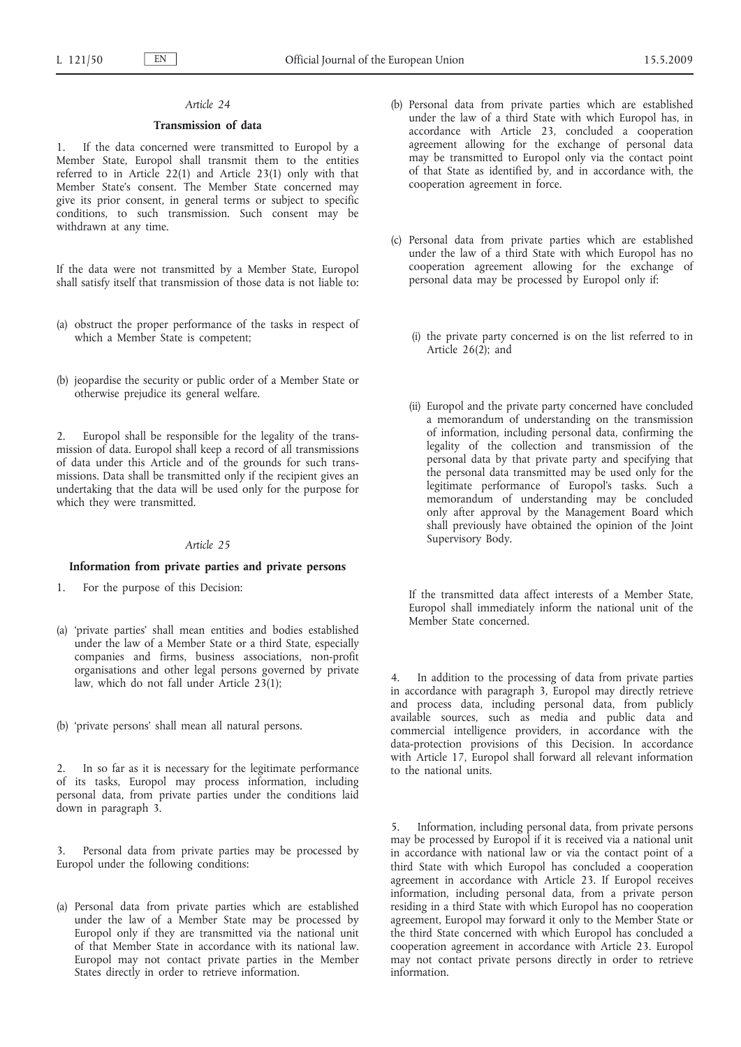# *Article 24*

# **Transmission of data**

1. If the data concerned were transmitted to Europol by a Member State, Europol shall transmit them to the entities referred to in Article 22(1) and Article 23(1) only with that Member State's consent. The Member State concerned may give its prior consent, in general terms or subject to specific conditions, to such transmission. Such consent may be withdrawn at any time.

If the data were not transmitted by a Member State, Europol shall satisfy itself that transmission of those data is not liable to:

- (a) obstruct the proper performance of the tasks in respect of which a Member State is competent;
- (b) jeopardise the security or public order of a Member State or otherwise prejudice its general welfare.

2. Europol shall be responsible for the legality of the transmission of data. Europol shall keep a record of all transmissions of data under this Article and of the grounds for such transmissions. Data shall be transmitted only if the recipient gives an undertaking that the data will be used only for the purpose for which they were transmitted.

# *Article 25*

# **Information from private parties and private persons**

- 1. For the purpose of this Decision:
- (a) 'private parties' shall mean entities and bodies established under the law of a Member State or a third State, especially companies and firms, business associations, non-profit organisations and other legal persons governed by private law, which do not fall under Article 23(1);
- (b) 'private persons' shall mean all natural persons.

2. In so far as it is necessary for the legitimate performance of its tasks, Europol may process information, including personal data, from private parties under the conditions laid down in paragraph 3.

Personal data from private parties may be processed by Europol under the following conditions:

(a) Personal data from private parties which are established under the law of a Member State may be processed by Europol only if they are transmitted via the national unit of that Member State in accordance with its national law. Europol may not contact private parties in the Member States directly in order to retrieve information.

- (b) Personal data from private parties which are established under the law of a third State with which Europol has, in accordance with Article 23, concluded a cooperation agreement allowing for the exchange of personal data may be transmitted to Europol only via the contact point of that State as identified by, and in accordance with, the cooperation agreement in force.
- (c) Personal data from private parties which are established under the law of a third State with which Europol has no cooperation agreement allowing for the exchange of personal data may be processed by Europol only if:
	- (i) the private party concerned is on the list referred to in Article 26(2); and
	- (ii) Europol and the private party concerned have concluded a memorandum of understanding on the transmission of information, including personal data, confirming the legality of the collection and transmission of the personal data by that private party and specifying that the personal data transmitted may be used only for the legitimate performance of Europol's tasks. Such a memorandum of understanding may be concluded only after approval by the Management Board which shall previously have obtained the opinion of the Joint Supervisory Body.

If the transmitted data affect interests of a Member State, Europol shall immediately inform the national unit of the Member State concerned.

4. In addition to the processing of data from private parties in accordance with paragraph 3, Europol may directly retrieve and process data, including personal data, from publicly available sources, such as media and public data and commercial intelligence providers, in accordance with the data-protection provisions of this Decision. In accordance with Article 17, Europol shall forward all relevant information to the national units.

Information, including personal data, from private persons may be processed by Europol if it is received via a national unit in accordance with national law or via the contact point of a third State with which Europol has concluded a cooperation agreement in accordance with Article 23. If Europol receives information, including personal data, from a private person residing in a third State with which Europol has no cooperation agreement, Europol may forward it only to the Member State or the third State concerned with which Europol has concluded a cooperation agreement in accordance with Article 23. Europol may not contact private persons directly in order to retrieve information.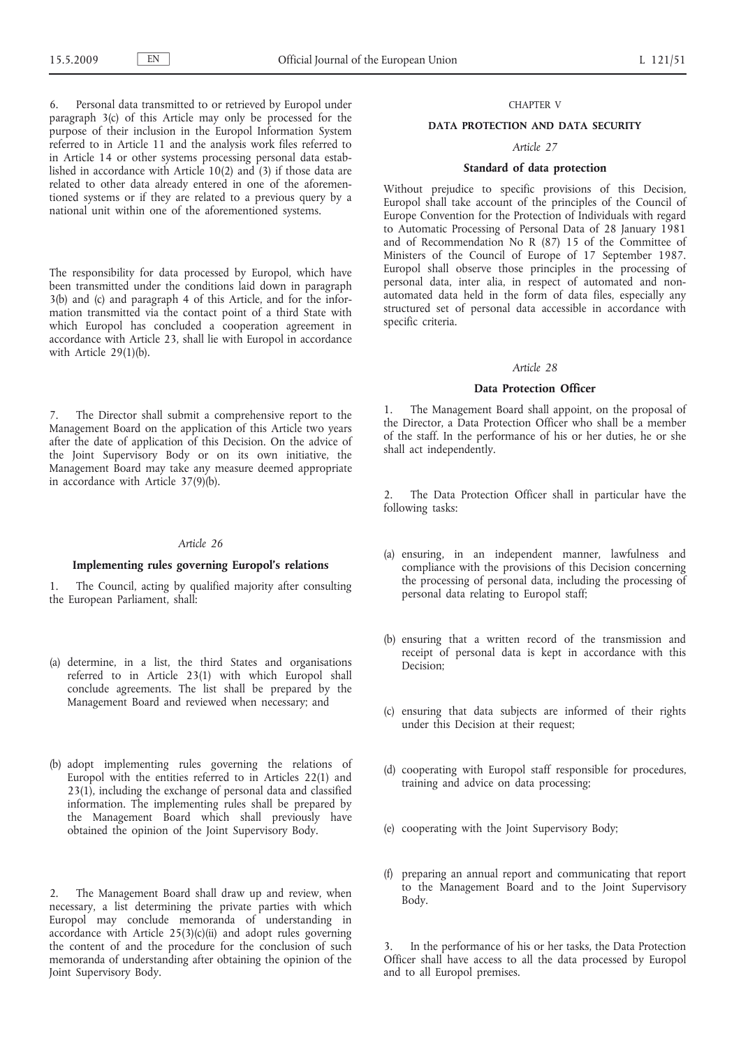6. Personal data transmitted to or retrieved by Europol under paragraph 3(c) of this Article may only be processed for the purpose of their inclusion in the Europol Information System referred to in Article 11 and the analysis work files referred to in Article 14 or other systems processing personal data established in accordance with Article 10(2) and (3) if those data are related to other data already entered in one of the aforementioned systems or if they are related to a previous query by a national unit within one of the aforementioned systems.

The responsibility for data processed by Europol, which have been transmitted under the conditions laid down in paragraph 3(b) and (c) and paragraph 4 of this Article, and for the information transmitted via the contact point of a third State with which Europol has concluded a cooperation agreement in accordance with Article 23, shall lie with Europol in accordance with Article 29(1)(b).

The Director shall submit a comprehensive report to the Management Board on the application of this Article two years after the date of application of this Decision. On the advice of the Joint Supervisory Body or on its own initiative, the Management Board may take any measure deemed appropriate in accordance with Article 37(9)(b).

# *Article 26*

# **Implementing rules governing Europol's relations**

1. The Council, acting by qualified majority after consulting the European Parliament, shall:

- (a) determine, in a list, the third States and organisations referred to in Article 23(1) with which Europol shall conclude agreements. The list shall be prepared by the Management Board and reviewed when necessary; and
- (b) adopt implementing rules governing the relations of Europol with the entities referred to in Articles 22(1) and 23(1), including the exchange of personal data and classified information. The implementing rules shall be prepared by the Management Board which shall previously have obtained the opinion of the Joint Supervisory Body.

2. The Management Board shall draw up and review, when necessary, a list determining the private parties with which Europol may conclude memoranda of understanding in accordance with Article  $25(3)(c)(ii)$  and adopt rules governing the content of and the procedure for the conclusion of such memoranda of understanding after obtaining the opinion of the Joint Supervisory Body.

## CHAPTER V

# **DATA PROTECTION AND DATA SECURITY**

# *Article 27*

# **Standard of data protection**

Without prejudice to specific provisions of this Decision, Europol shall take account of the principles of the Council of Europe Convention for the Protection of Individuals with regard to Automatic Processing of Personal Data of 28 January 1981 and of Recommendation No R (87) 15 of the Committee of Ministers of the Council of Europe of 17 September 1987. Europol shall observe those principles in the processing of personal data, inter alia, in respect of automated and nonautomated data held in the form of data files, especially any structured set of personal data accessible in accordance with specific criteria.

#### *Article 28*

# **Data Protection Officer**

The Management Board shall appoint, on the proposal of the Director, a Data Protection Officer who shall be a member of the staff. In the performance of his or her duties, he or she shall act independently.

2. The Data Protection Officer shall in particular have the following tasks:

- (a) ensuring, in an independent manner, lawfulness and compliance with the provisions of this Decision concerning the processing of personal data, including the processing of personal data relating to Europol staff;
- (b) ensuring that a written record of the transmission and receipt of personal data is kept in accordance with this Decision:
- (c) ensuring that data subjects are informed of their rights under this Decision at their request;
- (d) cooperating with Europol staff responsible for procedures, training and advice on data processing;
- (e) cooperating with the Joint Supervisory Body;
- (f) preparing an annual report and communicating that report to the Management Board and to the Joint Supervisory Body.

In the performance of his or her tasks, the Data Protection Officer shall have access to all the data processed by Europol and to all Europol premises.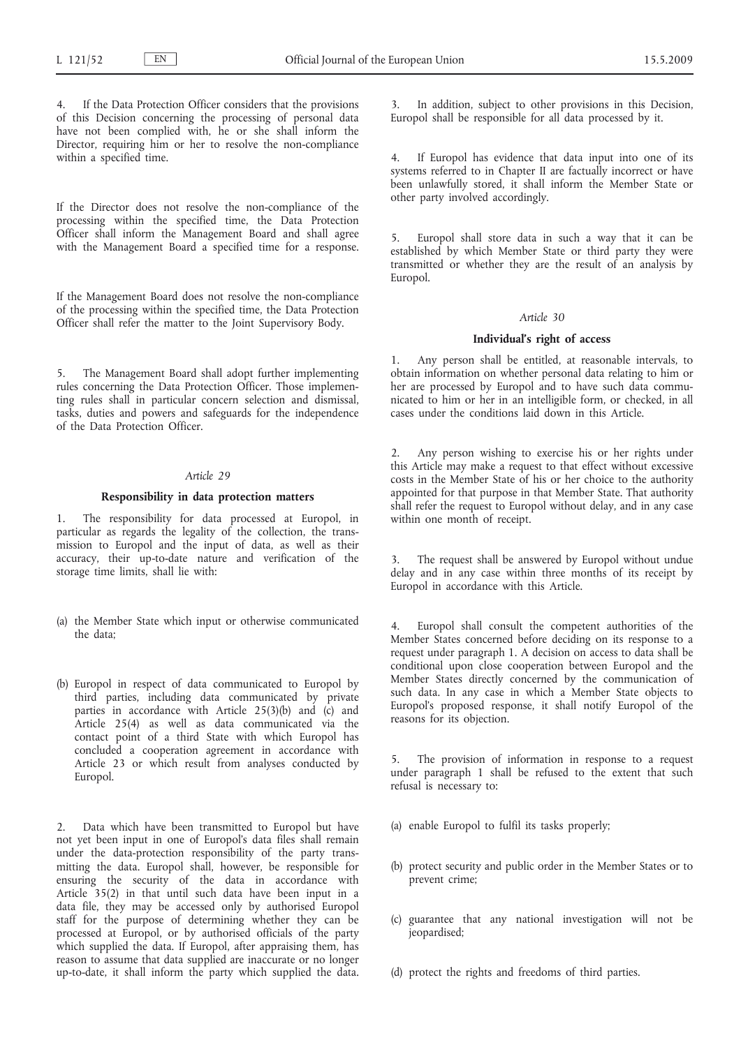If the Data Protection Officer considers that the provisions of this Decision concerning the processing of personal data have not been complied with, he or she shall inform the Director, requiring him or her to resolve the non-compliance within a specified time.

If the Director does not resolve the non-compliance of the processing within the specified time, the Data Protection Officer shall inform the Management Board and shall agree with the Management Board a specified time for a response.

If the Management Board does not resolve the non-compliance of the processing within the specified time, the Data Protection Officer shall refer the matter to the Joint Supervisory Body.

5. The Management Board shall adopt further implementing rules concerning the Data Protection Officer. Those implementing rules shall in particular concern selection and dismissal, tasks, duties and powers and safeguards for the independence of the Data Protection Officer.

# *Article 29*

# **Responsibility in data protection matters**

1. The responsibility for data processed at Europol, in particular as regards the legality of the collection, the transmission to Europol and the input of data, as well as their accuracy, their up-to-date nature and verification of the storage time limits, shall lie with:

- (a) the Member State which input or otherwise communicated the data;
- (b) Europol in respect of data communicated to Europol by third parties, including data communicated by private parties in accordance with Article 25(3)(b) and (c) and Article 25(4) as well as data communicated via the contact point of a third State with which Europol has concluded a cooperation agreement in accordance with Article 23 or which result from analyses conducted by Europol.

2. Data which have been transmitted to Europol but have not yet been input in one of Europol's data files shall remain under the data-protection responsibility of the party transmitting the data. Europol shall, however, be responsible for ensuring the security of the data in accordance with Article 35(2) in that until such data have been input in a data file, they may be accessed only by authorised Europol staff for the purpose of determining whether they can be processed at Europol, or by authorised officials of the party which supplied the data. If Europol, after appraising them, has reason to assume that data supplied are inaccurate or no longer up-to-date, it shall inform the party which supplied the data.

In addition, subject to other provisions in this Decision, Europol shall be responsible for all data processed by it.

4. If Europol has evidence that data input into one of its systems referred to in Chapter II are factually incorrect or have been unlawfully stored, it shall inform the Member State or other party involved accordingly.

5. Europol shall store data in such a way that it can be established by which Member State or third party they were transmitted or whether they are the result of an analysis by Europol.

### *Article 30*

# **Individual's right of access**

1. Any person shall be entitled, at reasonable intervals, to obtain information on whether personal data relating to him or her are processed by Europol and to have such data communicated to him or her in an intelligible form, or checked, in all cases under the conditions laid down in this Article.

Any person wishing to exercise his or her rights under this Article may make a request to that effect without excessive costs in the Member State of his or her choice to the authority appointed for that purpose in that Member State. That authority shall refer the request to Europol without delay, and in any case within one month of receipt.

3. The request shall be answered by Europol without undue delay and in any case within three months of its receipt by Europol in accordance with this Article.

Europol shall consult the competent authorities of the Member States concerned before deciding on its response to a request under paragraph 1. A decision on access to data shall be conditional upon close cooperation between Europol and the Member States directly concerned by the communication of such data. In any case in which a Member State objects to Europol's proposed response, it shall notify Europol of the reasons for its objection.

5. The provision of information in response to a request under paragraph 1 shall be refused to the extent that such refusal is necessary to:

- (a) enable Europol to fulfil its tasks properly;
- (b) protect security and public order in the Member States or to prevent crime;
- (c) guarantee that any national investigation will not be jeopardised;

(d) protect the rights and freedoms of third parties.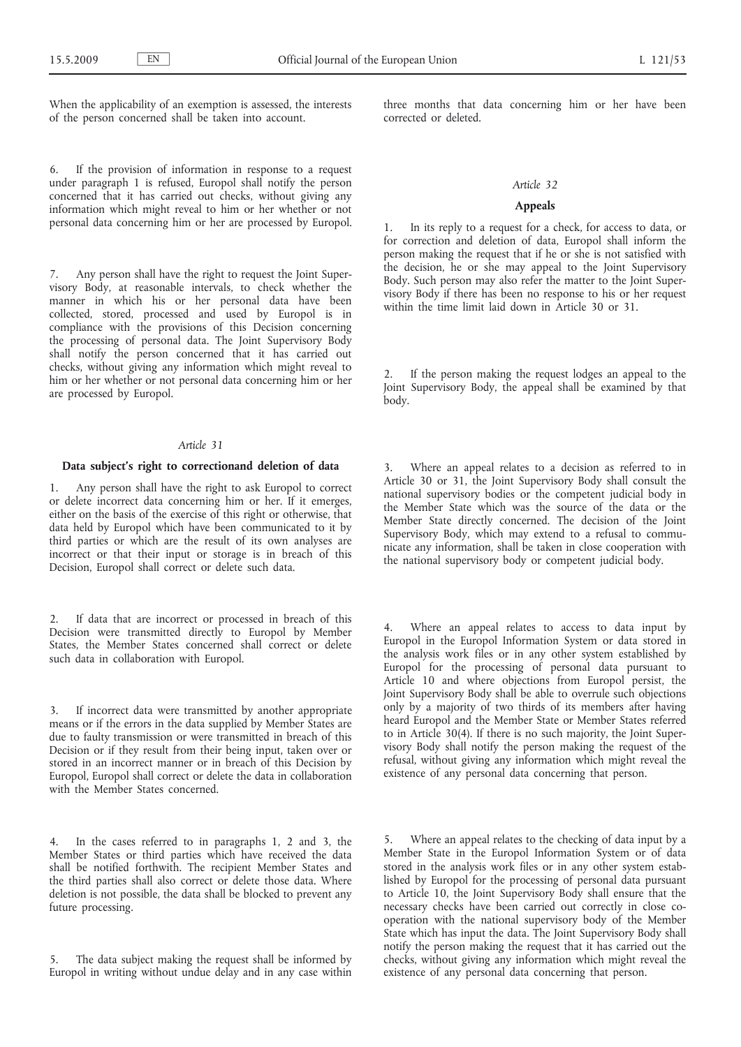When the applicability of an exemption is assessed, the interests of the person concerned shall be taken into account.

6. If the provision of information in response to a request under paragraph 1 is refused, Europol shall notify the person concerned that it has carried out checks, without giving any information which might reveal to him or her whether or not personal data concerning him or her are processed by Europol.

7. Any person shall have the right to request the Joint Supervisory Body, at reasonable intervals, to check whether the manner in which his or her personal data have been collected, stored, processed and used by Europol is in compliance with the provisions of this Decision concerning the processing of personal data. The Joint Supervisory Body shall notify the person concerned that it has carried out checks, without giving any information which might reveal to him or her whether or not personal data concerning him or her are processed by Europol.

### *Article 31*

### **Data subject's right to correctionand deletion of data**

1. Any person shall have the right to ask Europol to correct or delete incorrect data concerning him or her. If it emerges, either on the basis of the exercise of this right or otherwise, that data held by Europol which have been communicated to it by third parties or which are the result of its own analyses are incorrect or that their input or storage is in breach of this Decision, Europol shall correct or delete such data.

2. If data that are incorrect or processed in breach of this Decision were transmitted directly to Europol by Member States, the Member States concerned shall correct or delete such data in collaboration with Europol.

3. If incorrect data were transmitted by another appropriate means or if the errors in the data supplied by Member States are due to faulty transmission or were transmitted in breach of this Decision or if they result from their being input, taken over or stored in an incorrect manner or in breach of this Decision by Europol, Europol shall correct or delete the data in collaboration with the Member States concerned.

4. In the cases referred to in paragraphs 1, 2 and 3, the Member States or third parties which have received the data shall be notified forthwith. The recipient Member States and the third parties shall also correct or delete those data. Where deletion is not possible, the data shall be blocked to prevent any future processing.

5. The data subject making the request shall be informed by Europol in writing without undue delay and in any case within three months that data concerning him or her have been corrected or deleted.

#### *Article 32*

# **Appeals**

1. In its reply to a request for a check, for access to data, or for correction and deletion of data, Europol shall inform the person making the request that if he or she is not satisfied with the decision, he or she may appeal to the Joint Supervisory Body. Such person may also refer the matter to the Joint Supervisory Body if there has been no response to his or her request within the time limit laid down in Article 30 or 31.

2. If the person making the request lodges an appeal to the Joint Supervisory Body, the appeal shall be examined by that body.

3. Where an appeal relates to a decision as referred to in Article 30 or 31, the Joint Supervisory Body shall consult the national supervisory bodies or the competent judicial body in the Member State which was the source of the data or the Member State directly concerned. The decision of the Joint Supervisory Body, which may extend to a refusal to communicate any information, shall be taken in close cooperation with the national supervisory body or competent judicial body.

Where an appeal relates to access to data input by Europol in the Europol Information System or data stored in the analysis work files or in any other system established by Europol for the processing of personal data pursuant to Article 10 and where objections from Europol persist, the Joint Supervisory Body shall be able to overrule such objections only by a majority of two thirds of its members after having heard Europol and the Member State or Member States referred to in Article 30(4). If there is no such majority, the Joint Supervisory Body shall notify the person making the request of the refusal, without giving any information which might reveal the existence of any personal data concerning that person.

5. Where an appeal relates to the checking of data input by a Member State in the Europol Information System or of data stored in the analysis work files or in any other system established by Europol for the processing of personal data pursuant to Article 10, the Joint Supervisory Body shall ensure that the necessary checks have been carried out correctly in close cooperation with the national supervisory body of the Member State which has input the data. The Joint Supervisory Body shall notify the person making the request that it has carried out the checks, without giving any information which might reveal the existence of any personal data concerning that person.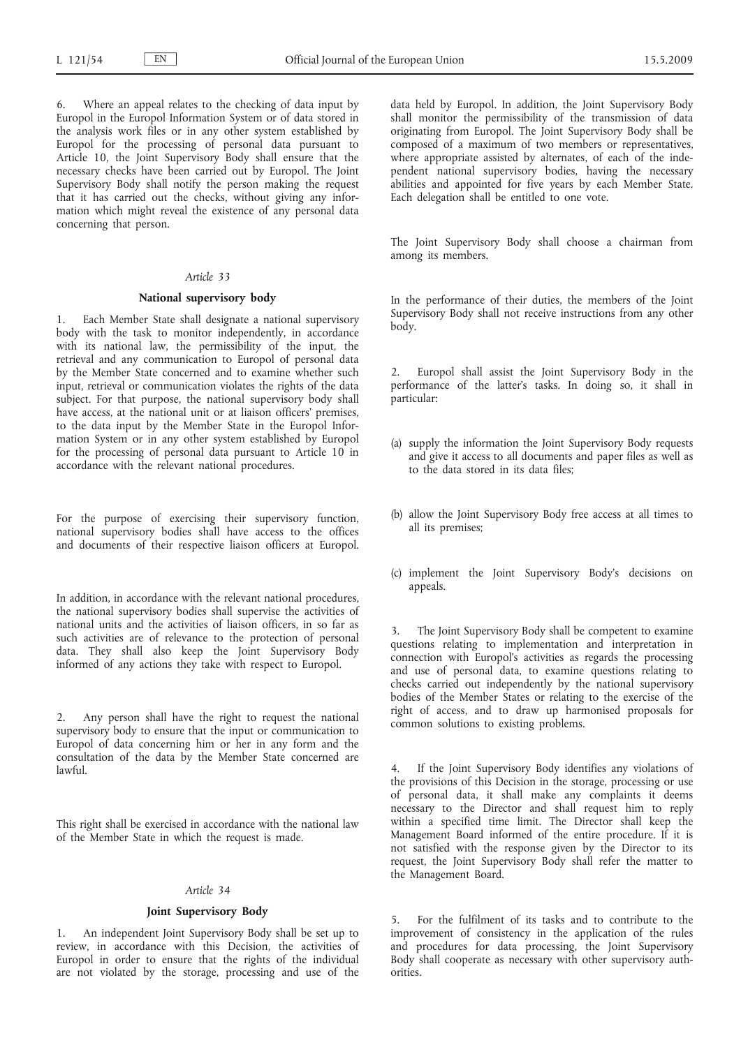Where an appeal relates to the checking of data input by Europol in the Europol Information System or of data stored in the analysis work files or in any other system established by Europol for the processing of personal data pursuant to Article 10, the Joint Supervisory Body shall ensure that the necessary checks have been carried out by Europol. The Joint Supervisory Body shall notify the person making the request that it has carried out the checks, without giving any information which might reveal the existence of any personal data concerning that person.

### *Article 33*

# **National supervisory body**

Each Member State shall designate a national supervisory body with the task to monitor independently, in accordance with its national law, the permissibility of the input, the retrieval and any communication to Europol of personal data by the Member State concerned and to examine whether such input, retrieval or communication violates the rights of the data subject. For that purpose, the national supervisory body shall have access, at the national unit or at liaison officers' premises, to the data input by the Member State in the Europol Information System or in any other system established by Europol for the processing of personal data pursuant to Article 10 in accordance with the relevant national procedures.

For the purpose of exercising their supervisory function, national supervisory bodies shall have access to the offices and documents of their respective liaison officers at Europol.

In addition, in accordance with the relevant national procedures, the national supervisory bodies shall supervise the activities of national units and the activities of liaison officers, in so far as such activities are of relevance to the protection of personal data. They shall also keep the Joint Supervisory Body informed of any actions they take with respect to Europol.

2. Any person shall have the right to request the national supervisory body to ensure that the input or communication to Europol of data concerning him or her in any form and the consultation of the data by the Member State concerned are lawful.

This right shall be exercised in accordance with the national law of the Member State in which the request is made.

# *Article 34*

# **Joint Supervisory Body**

1. An independent Joint Supervisory Body shall be set up to review, in accordance with this Decision, the activities of Europol in order to ensure that the rights of the individual are not violated by the storage, processing and use of the

data held by Europol. In addition, the Joint Supervisory Body shall monitor the permissibility of the transmission of data originating from Europol. The Joint Supervisory Body shall be composed of a maximum of two members or representatives, where appropriate assisted by alternates, of each of the independent national supervisory bodies, having the necessary abilities and appointed for five years by each Member State. Each delegation shall be entitled to one vote.

The Joint Supervisory Body shall choose a chairman from among its members.

In the performance of their duties, the members of the Joint Supervisory Body shall not receive instructions from any other body.

2. Europol shall assist the Joint Supervisory Body in the performance of the latter's tasks. In doing so, it shall in particular:

- (a) supply the information the Joint Supervisory Body requests and give it access to all documents and paper files as well as to the data stored in its data files;
- (b) allow the Joint Supervisory Body free access at all times to all its premises;
- (c) implement the Joint Supervisory Body's decisions on appeals.

The Joint Supervisory Body shall be competent to examine questions relating to implementation and interpretation in connection with Europol's activities as regards the processing and use of personal data, to examine questions relating to checks carried out independently by the national supervisory bodies of the Member States or relating to the exercise of the right of access, and to draw up harmonised proposals for common solutions to existing problems.

4. If the Joint Supervisory Body identifies any violations of the provisions of this Decision in the storage, processing or use of personal data, it shall make any complaints it deems necessary to the Director and shall request him to reply within a specified time limit. The Director shall keep the Management Board informed of the entire procedure. If it is not satisfied with the response given by the Director to its request, the Joint Supervisory Body shall refer the matter to the Management Board.

5. For the fulfilment of its tasks and to contribute to the improvement of consistency in the application of the rules and procedures for data processing, the Joint Supervisory Body shall cooperate as necessary with other supervisory authorities.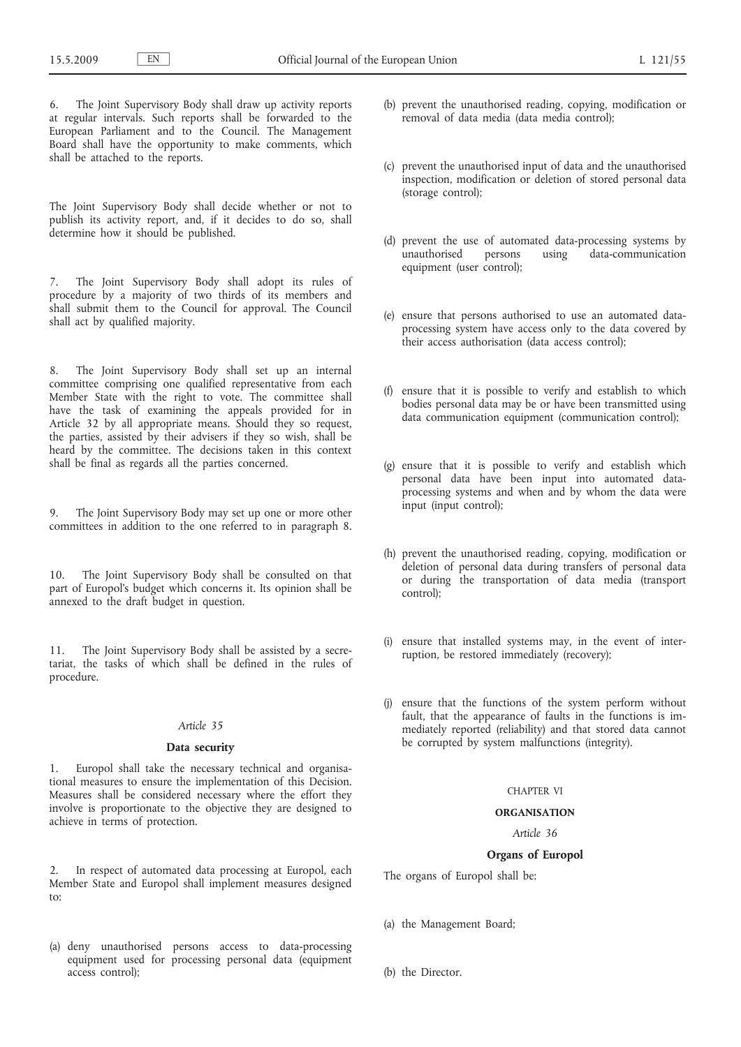6. The Joint Supervisory Body shall draw up activity reports at regular intervals. Such reports shall be forwarded to the European Parliament and to the Council. The Management Board shall have the opportunity to make comments, which shall be attached to the reports.

The Joint Supervisory Body shall decide whether or not to publish its activity report, and, if it decides to do so, shall determine how it should be published.

7. The Joint Supervisory Body shall adopt its rules of procedure by a majority of two thirds of its members and shall submit them to the Council for approval. The Council shall act by qualified majority.

8. The Joint Supervisory Body shall set up an internal committee comprising one qualified representative from each Member State with the right to vote. The committee shall have the task of examining the appeals provided for in Article 32 by all appropriate means. Should they so request, the parties, assisted by their advisers if they so wish, shall be heard by the committee. The decisions taken in this context shall be final as regards all the parties concerned.

9. The Joint Supervisory Body may set up one or more other committees in addition to the one referred to in paragraph 8.

10. The Joint Supervisory Body shall be consulted on that part of Europol's budget which concerns it. Its opinion shall be annexed to the draft budget in question.

11. The Joint Supervisory Body shall be assisted by a secretariat, the tasks of which shall be defined in the rules of procedure.

### *Article 35*

## **Data security**

1. Europol shall take the necessary technical and organisational measures to ensure the implementation of this Decision. Measures shall be considered necessary where the effort they involve is proportionate to the objective they are designed to achieve in terms of protection.

In respect of automated data processing at Europol, each Member State and Europol shall implement measures designed to:

(a) deny unauthorised persons access to data-processing equipment used for processing personal data (equipment access control);

- (b) prevent the unauthorised reading, copying, modification or removal of data media (data media control);
- (c) prevent the unauthorised input of data and the unauthorised inspection, modification or deletion of stored personal data (storage control);
- (d) prevent the use of automated data-processing systems by unauthorised persons using data-communication equipment (user control);
- (e) ensure that persons authorised to use an automated dataprocessing system have access only to the data covered by their access authorisation (data access control);
- (f) ensure that it is possible to verify and establish to which bodies personal data may be or have been transmitted using data communication equipment (communication control);
- (g) ensure that it is possible to verify and establish which personal data have been input into automated dataprocessing systems and when and by whom the data were input (input control);
- (h) prevent the unauthorised reading, copying, modification or deletion of personal data during transfers of personal data or during the transportation of data media (transport control);
- (i) ensure that installed systems may, in the event of interruption, be restored immediately (recovery);
- (j) ensure that the functions of the system perform without fault, that the appearance of faults in the functions is immediately reported (reliability) and that stored data cannot be corrupted by system malfunctions (integrity).

#### CHAPTER VI

# **ORGANISATION**

*Article 36*

# **Organs of Europol**

The organs of Europol shall be:

(a) the Management Board;

(b) the Director.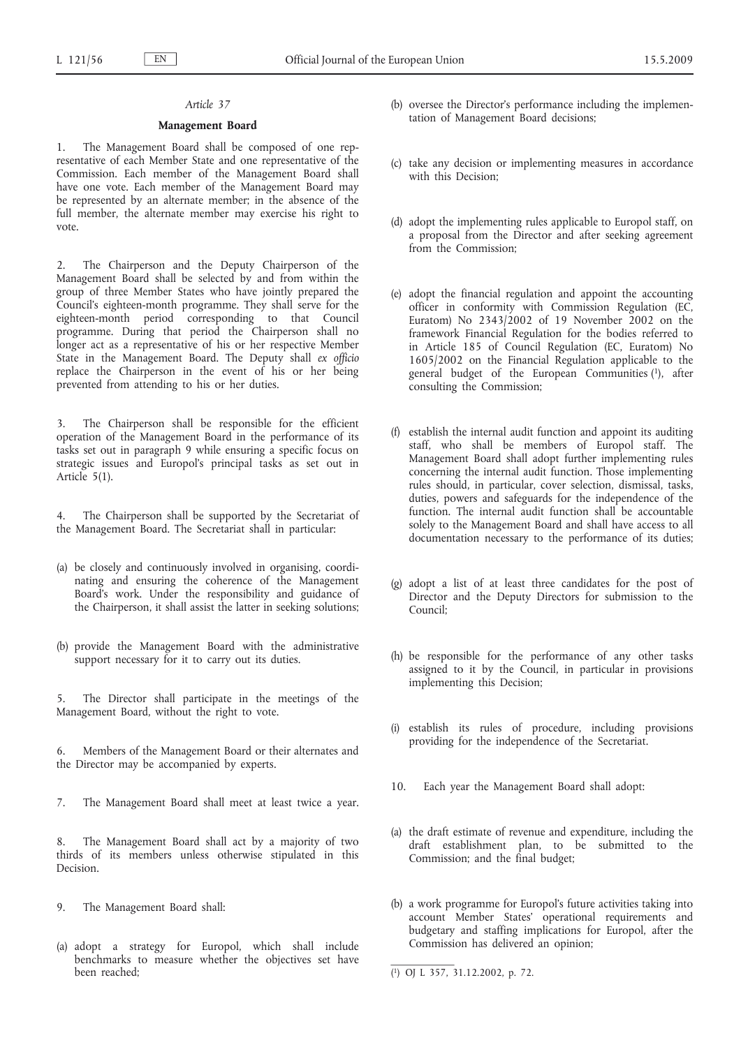# *Article 37*

# **Management Board**

1. The Management Board shall be composed of one representative of each Member State and one representative of the Commission. Each member of the Management Board shall have one vote. Each member of the Management Board may be represented by an alternate member; in the absence of the full member, the alternate member may exercise his right to vote.

2. The Chairperson and the Deputy Chairperson of the Management Board shall be selected by and from within the group of three Member States who have jointly prepared the Council's eighteen-month programme. They shall serve for the eighteen-month period corresponding to that Council programme. During that period the Chairperson shall no longer act as a representative of his or her respective Member State in the Management Board. The Deputy shall *ex officio* replace the Chairperson in the event of his or her being prevented from attending to his or her duties.

The Chairperson shall be responsible for the efficient operation of the Management Board in the performance of its tasks set out in paragraph 9 while ensuring a specific focus on strategic issues and Europol's principal tasks as set out in Article 5(1).

The Chairperson shall be supported by the Secretariat of the Management Board. The Secretariat shall in particular:

- (a) be closely and continuously involved in organising, coordinating and ensuring the coherence of the Management Board's work. Under the responsibility and guidance of the Chairperson, it shall assist the latter in seeking solutions;
- (b) provide the Management Board with the administrative support necessary for it to carry out its duties.

5. The Director shall participate in the meetings of the Management Board, without the right to vote.

6. Members of the Management Board or their alternates and the Director may be accompanied by experts.

7. The Management Board shall meet at least twice a year.

8. The Management Board shall act by a majority of two thirds of its members unless otherwise stipulated in this Decision.

- 9. The Management Board shall:
- (a) adopt a strategy for Europol, which shall include benchmarks to measure whether the objectives set have been reached;
- (b) oversee the Director's performance including the implementation of Management Board decisions;
- (c) take any decision or implementing measures in accordance with this Decision;
- (d) adopt the implementing rules applicable to Europol staff, on a proposal from the Director and after seeking agreement from the Commission;
- (e) adopt the financial regulation and appoint the accounting officer in conformity with Commission Regulation (EC, Euratom) No 2343/2002 of 19 November 2002 on the framework Financial Regulation for the bodies referred to in Article 185 of Council Regulation (EC, Euratom) No 1605/2002 on the Financial Regulation applicable to the general budget of the European Communities  $(1)$ , after consulting the Commission;
- (f) establish the internal audit function and appoint its auditing staff, who shall be members of Europol staff. The Management Board shall adopt further implementing rules concerning the internal audit function. Those implementing rules should, in particular, cover selection, dismissal, tasks, duties, powers and safeguards for the independence of the function. The internal audit function shall be accountable solely to the Management Board and shall have access to all documentation necessary to the performance of its duties;
- (g) adopt a list of at least three candidates for the post of Director and the Deputy Directors for submission to the Council;
- (h) be responsible for the performance of any other tasks assigned to it by the Council, in particular in provisions implementing this Decision;
- (i) establish its rules of procedure, including provisions providing for the independence of the Secretariat.
- 10. Each year the Management Board shall adopt:
- (a) the draft estimate of revenue and expenditure, including the draft establishment plan, to be submitted to the Commission; and the final budget;
- (b) a work programme for Europol's future activities taking into account Member States' operational requirements and budgetary and staffing implications for Europol, after the Commission has delivered an opinion;

<sup>(</sup> 1) OJ L 357, 31.12.2002, p. 72.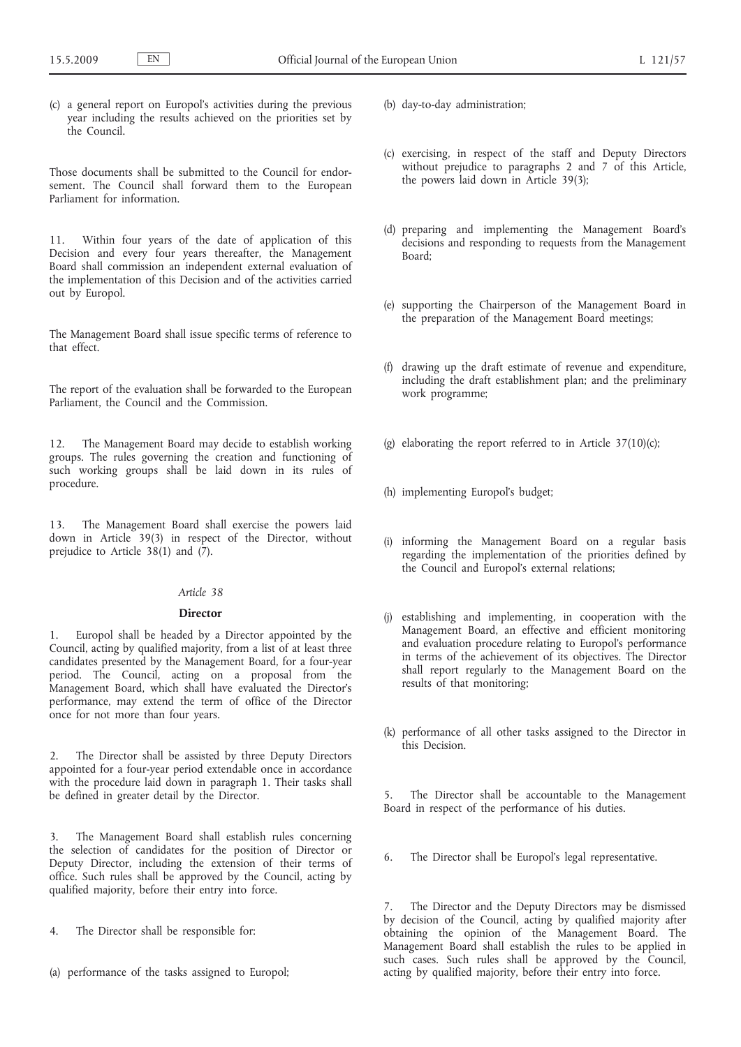(c) a general report on Europol's activities during the previous year including the results achieved on the priorities set by the Council.

Those documents shall be submitted to the Council for endorsement. The Council shall forward them to the European Parliament for information.

11. Within four years of the date of application of this Decision and every four years thereafter, the Management Board shall commission an independent external evaluation of the implementation of this Decision and of the activities carried out by Europol.

The Management Board shall issue specific terms of reference to that effect.

The report of the evaluation shall be forwarded to the European Parliament, the Council and the Commission.

12. The Management Board may decide to establish working groups. The rules governing the creation and functioning of such working groups shall be laid down in its rules of procedure.

13. The Management Board shall exercise the powers laid down in Article 39(3) in respect of the Director, without prejudice to Article 38(1) and  $(7)$ .

# *Article 38*

#### **Director**

1. Europol shall be headed by a Director appointed by the Council, acting by qualified majority, from a list of at least three candidates presented by the Management Board, for a four-year period. The Council, acting on a proposal from the Management Board, which shall have evaluated the Director's performance, may extend the term of office of the Director once for not more than four years.

2. The Director shall be assisted by three Deputy Directors appointed for a four-year period extendable once in accordance with the procedure laid down in paragraph 1. Their tasks shall be defined in greater detail by the Director.

3. The Management Board shall establish rules concerning the selection of candidates for the position of Director or Deputy Director, including the extension of their terms of office. Such rules shall be approved by the Council, acting by qualified majority, before their entry into force.

- 4. The Director shall be responsible for:
- (a) performance of the tasks assigned to Europol;
- (b) day-to-day administration;
- (c) exercising, in respect of the staff and Deputy Directors without prejudice to paragraphs 2 and 7 of this Article, the powers laid down in Article 39(3);
- (d) preparing and implementing the Management Board's decisions and responding to requests from the Management Board;
- (e) supporting the Chairperson of the Management Board in the preparation of the Management Board meetings;
- (f) drawing up the draft estimate of revenue and expenditure, including the draft establishment plan; and the preliminary work programme;
- (g) elaborating the report referred to in Article  $37(10)(c)$ ;
- (h) implementing Europol's budget;
- (i) informing the Management Board on a regular basis regarding the implementation of the priorities defined by the Council and Europol's external relations;
- (j) establishing and implementing, in cooperation with the Management Board, an effective and efficient monitoring and evaluation procedure relating to Europol's performance in terms of the achievement of its objectives. The Director shall report regularly to the Management Board on the results of that monitoring;
- (k) performance of all other tasks assigned to the Director in this Decision.

5. The Director shall be accountable to the Management Board in respect of the performance of his duties.

6. The Director shall be Europol's legal representative.

The Director and the Deputy Directors may be dismissed by decision of the Council, acting by qualified majority after obtaining the opinion of the Management Board. The Management Board shall establish the rules to be applied in such cases. Such rules shall be approved by the Council, acting by qualified majority, before their entry into force.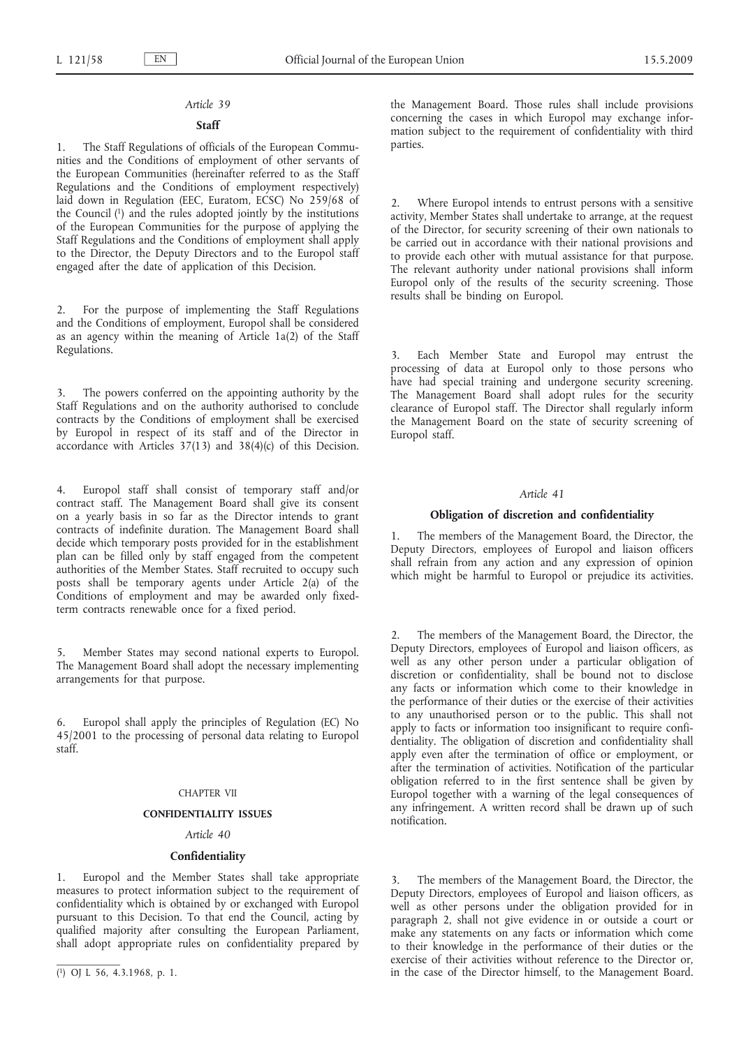# *Article 39*

#### **Staff**

1. The Staff Regulations of officials of the European Communities and the Conditions of employment of other servants of the European Communities (hereinafter referred to as the Staff Regulations and the Conditions of employment respectively) laid down in Regulation (EEC, Euratom, ECSC) No 259/68 of the Council (1) and the rules adopted jointly by the institutions of the European Communities for the purpose of applying the Staff Regulations and the Conditions of employment shall apply to the Director, the Deputy Directors and to the Europol staff engaged after the date of application of this Decision.

2. For the purpose of implementing the Staff Regulations and the Conditions of employment, Europol shall be considered as an agency within the meaning of Article 1a(2) of the Staff Regulations.

3. The powers conferred on the appointing authority by the Staff Regulations and on the authority authorised to conclude contracts by the Conditions of employment shall be exercised by Europol in respect of its staff and of the Director in accordance with Articles 37(13) and 38(4)(c) of this Decision.

4. Europol staff shall consist of temporary staff and/or contract staff. The Management Board shall give its consent on a yearly basis in so far as the Director intends to grant contracts of indefinite duration. The Management Board shall decide which temporary posts provided for in the establishment plan can be filled only by staff engaged from the competent authorities of the Member States. Staff recruited to occupy such posts shall be temporary agents under Article 2(a) of the Conditions of employment and may be awarded only fixedterm contracts renewable once for a fixed period.

Member States may second national experts to Europol. The Management Board shall adopt the necessary implementing arrangements for that purpose.

6. Europol shall apply the principles of Regulation (EC) No 45/2001 to the processing of personal data relating to Europol staff.

#### CHAPTER VII

### **CONFIDENTIALITY ISSUES**

# *Article 40*

# **Confidentiality**

1. Europol and the Member States shall take appropriate measures to protect information subject to the requirement of confidentiality which is obtained by or exchanged with Europol pursuant to this Decision. To that end the Council, acting by qualified majority after consulting the European Parliament, shall adopt appropriate rules on confidentiality prepared by the Management Board. Those rules shall include provisions concerning the cases in which Europol may exchange information subject to the requirement of confidentiality with third parties.

2. Where Europol intends to entrust persons with a sensitive activity, Member States shall undertake to arrange, at the request of the Director, for security screening of their own nationals to be carried out in accordance with their national provisions and to provide each other with mutual assistance for that purpose. The relevant authority under national provisions shall inform Europol only of the results of the security screening. Those results shall be binding on Europol.

Each Member State and Europol may entrust the processing of data at Europol only to those persons who have had special training and undergone security screening. The Management Board shall adopt rules for the security clearance of Europol staff. The Director shall regularly inform the Management Board on the state of security screening of Europol staff.

#### *Article 41*

### **Obligation of discretion and confidentiality**

The members of the Management Board, the Director, the Deputy Directors, employees of Europol and liaison officers shall refrain from any action and any expression of opinion which might be harmful to Europol or prejudice its activities.

The members of the Management Board, the Director, the Deputy Directors, employees of Europol and liaison officers, as well as any other person under a particular obligation of discretion or confidentiality, shall be bound not to disclose any facts or information which come to their knowledge in the performance of their duties or the exercise of their activities to any unauthorised person or to the public. This shall not apply to facts or information too insignificant to require confidentiality. The obligation of discretion and confidentiality shall apply even after the termination of office or employment, or after the termination of activities. Notification of the particular obligation referred to in the first sentence shall be given by Europol together with a warning of the legal consequences of any infringement. A written record shall be drawn up of such notification.

3. The members of the Management Board, the Director, the Deputy Directors, employees of Europol and liaison officers, as well as other persons under the obligation provided for in paragraph 2, shall not give evidence in or outside a court or make any statements on any facts or information which come to their knowledge in the performance of their duties or the exercise of their activities without reference to the Director or, in the case of the Director himself, to the Management Board.

<sup>(</sup> 1) OJ L 56, 4.3.1968, p. 1.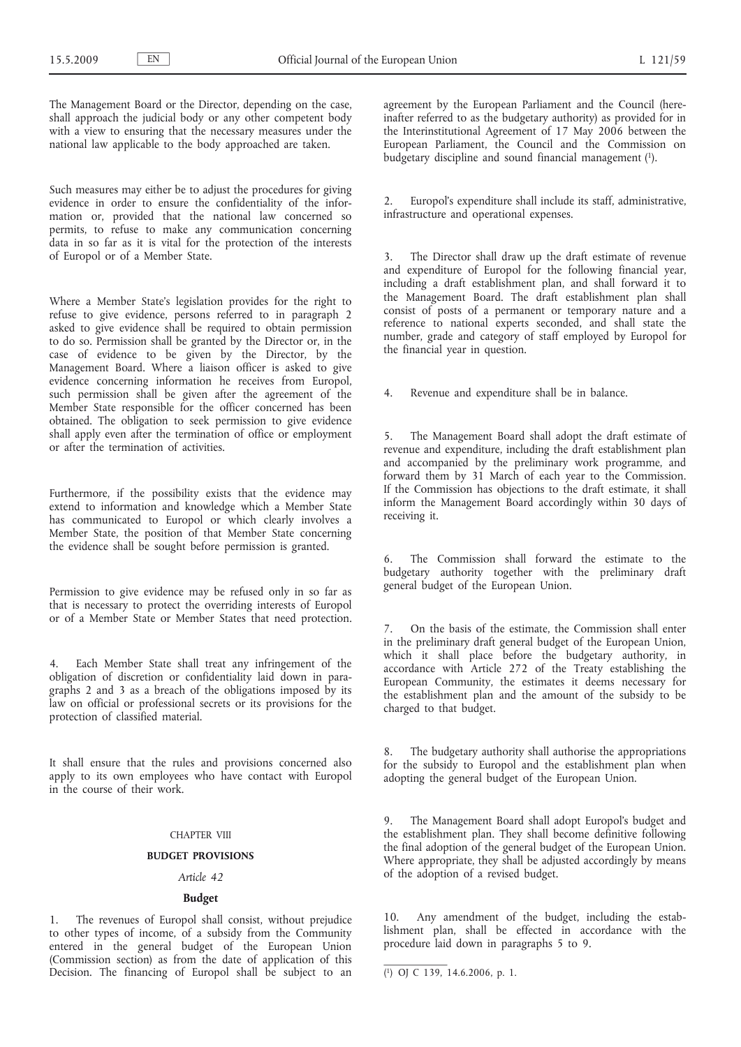The Management Board or the Director, depending on the case, shall approach the judicial body or any other competent body with a view to ensuring that the necessary measures under the national law applicable to the body approached are taken.

Such measures may either be to adjust the procedures for giving evidence in order to ensure the confidentiality of the information or, provided that the national law concerned so permits, to refuse to make any communication concerning data in so far as it is vital for the protection of the interests of Europol or of a Member State.

Where a Member State's legislation provides for the right to refuse to give evidence, persons referred to in paragraph 2 asked to give evidence shall be required to obtain permission to do so. Permission shall be granted by the Director or, in the case of evidence to be given by the Director, by the Management Board. Where a liaison officer is asked to give evidence concerning information he receives from Europol, such permission shall be given after the agreement of the Member State responsible for the officer concerned has been obtained. The obligation to seek permission to give evidence shall apply even after the termination of office or employment or after the termination of activities.

Furthermore, if the possibility exists that the evidence may extend to information and knowledge which a Member State has communicated to Europol or which clearly involves a Member State, the position of that Member State concerning the evidence shall be sought before permission is granted.

Permission to give evidence may be refused only in so far as that is necessary to protect the overriding interests of Europol or of a Member State or Member States that need protection.

4. Each Member State shall treat any infringement of the obligation of discretion or confidentiality laid down in paragraphs 2 and 3 as a breach of the obligations imposed by its law on official or professional secrets or its provisions for the protection of classified material.

It shall ensure that the rules and provisions concerned also apply to its own employees who have contact with Europol in the course of their work.

### CHAPTER VIII

# **BUDGET PROVISIONS**

# *Article 42*

### **Budget**

1. The revenues of Europol shall consist, without prejudice to other types of income, of a subsidy from the Community entered in the general budget of the European Union (Commission section) as from the date of application of this Decision. The financing of Europol shall be subject to an

agreement by the European Parliament and the Council (hereinafter referred to as the budgetary authority) as provided for in the Interinstitutional Agreement of 17 May 2006 between the European Parliament, the Council and the Commission on budgetary discipline and sound financial management (1).

2. Europol's expenditure shall include its staff, administrative, infrastructure and operational expenses.

3. The Director shall draw up the draft estimate of revenue and expenditure of Europol for the following financial year, including a draft establishment plan, and shall forward it to the Management Board. The draft establishment plan shall consist of posts of a permanent or temporary nature and a reference to national experts seconded, and shall state the number, grade and category of staff employed by Europol for the financial year in question.

4. Revenue and expenditure shall be in balance.

5. The Management Board shall adopt the draft estimate of revenue and expenditure, including the draft establishment plan and accompanied by the preliminary work programme, and forward them by 31 March of each year to the Commission. If the Commission has objections to the draft estimate, it shall inform the Management Board accordingly within 30 days of receiving it.

6. The Commission shall forward the estimate to the budgetary authority together with the preliminary draft general budget of the European Union.

7. On the basis of the estimate, the Commission shall enter in the preliminary draft general budget of the European Union, which it shall place before the budgetary authority, in accordance with Article 272 of the Treaty establishing the European Community, the estimates it deems necessary for the establishment plan and the amount of the subsidy to be charged to that budget.

8. The budgetary authority shall authorise the appropriations for the subsidy to Europol and the establishment plan when adopting the general budget of the European Union.

The Management Board shall adopt Europol's budget and the establishment plan. They shall become definitive following the final adoption of the general budget of the European Union. Where appropriate, they shall be adjusted accordingly by means of the adoption of a revised budget.

10. Any amendment of the budget, including the establishment plan, shall be effected in accordance with the procedure laid down in paragraphs 5 to 9.

<sup>(</sup> 1) OJ C 139, 14.6.2006, p. 1.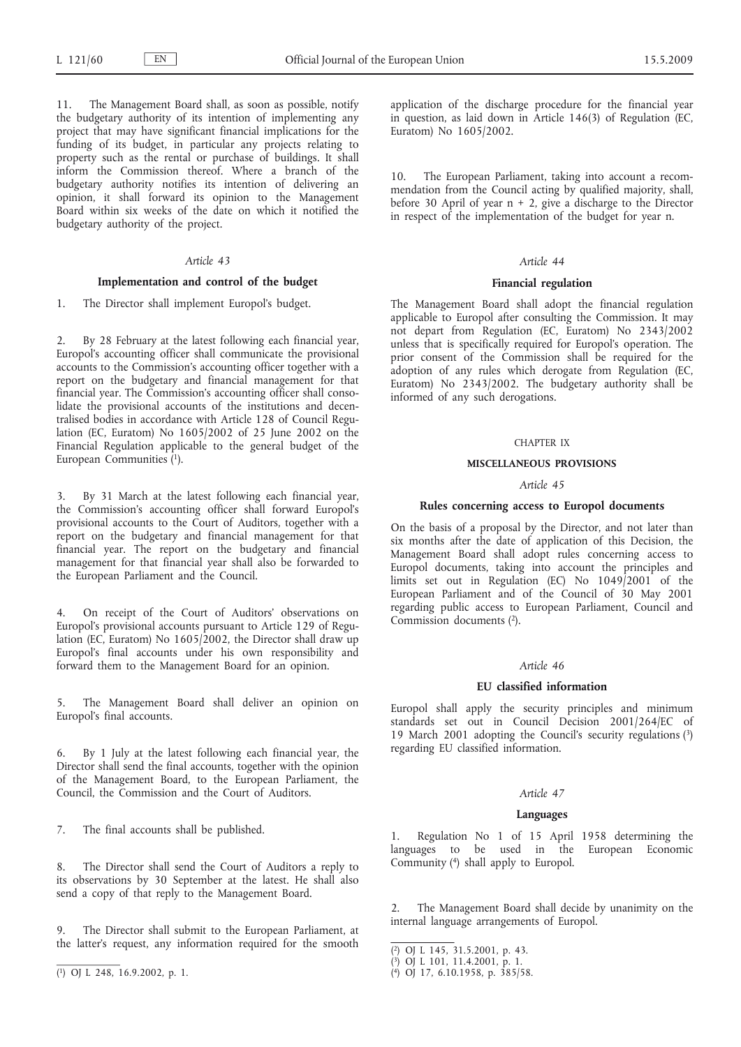11. The Management Board shall, as soon as possible, notify the budgetary authority of its intention of implementing any project that may have significant financial implications for the funding of its budget, in particular any projects relating to property such as the rental or purchase of buildings. It shall inform the Commission thereof. Where a branch of the budgetary authority notifies its intention of delivering an opinion, it shall forward its opinion to the Management Board within six weeks of the date on which it notified the budgetary authority of the project.

#### *Article 43*

## **Implementation and control of the budget**

1. The Director shall implement Europol's budget.

2. By 28 February at the latest following each financial year, Europol's accounting officer shall communicate the provisional accounts to the Commission's accounting officer together with a report on the budgetary and financial management for that financial year. The Commission's accounting officer shall consolidate the provisional accounts of the institutions and decentralised bodies in accordance with Article 128 of Council Regulation (EC, Euratom) No 1605/2002 of 25 June 2002 on the Financial Regulation applicable to the general budget of the European Communities (1).

3. By 31 March at the latest following each financial year, the Commission's accounting officer shall forward Europol's provisional accounts to the Court of Auditors, together with a report on the budgetary and financial management for that financial year. The report on the budgetary and financial management for that financial year shall also be forwarded to the European Parliament and the Council.

4. On receipt of the Court of Auditors' observations on Europol's provisional accounts pursuant to Article 129 of Regulation (EC, Euratom) No  $1605/2002$ , the Director shall draw up Europol's final accounts under his own responsibility and forward them to the Management Board for an opinion.

The Management Board shall deliver an opinion on Europol's final accounts.

6. By 1 July at the latest following each financial year, the Director shall send the final accounts, together with the opinion of the Management Board, to the European Parliament, the Council, the Commission and the Court of Auditors.

7. The final accounts shall be published.

8. The Director shall send the Court of Auditors a reply to its observations by 30 September at the latest. He shall also send a copy of that reply to the Management Board.

9. The Director shall submit to the European Parliament, at the latter's request, any information required for the smooth

( 1) OJ L 248, 16.9.2002, p. 1.

application of the discharge procedure for the financial year in question, as laid down in Article 146(3) of Regulation (EC, Euratom) No 1605/2002.

10. The European Parliament, taking into account a recommendation from the Council acting by qualified majority, shall, before 30 April of year  $n + 2$ , give a discharge to the Director in respect of the implementation of the budget for year n.

#### *Article 44*

# **Financial regulation**

The Management Board shall adopt the financial regulation applicable to Europol after consulting the Commission. It may not depart from Regulation (EC, Euratom) No 2343/2002 unless that is specifically required for Europol's operation. The prior consent of the Commission shall be required for the adoption of any rules which derogate from Regulation (EC, Euratom) No 2343/2002. The budgetary authority shall be informed of any such derogations.

# CHAPTER IX

### **MISCELLANEOUS PROVISIONS**

# *Article 45*

### **Rules concerning access to Europol documents**

On the basis of a proposal by the Director, and not later than six months after the date of application of this Decision, the Management Board shall adopt rules concerning access to Europol documents, taking into account the principles and limits set out in Regulation (EC) No 1049/2001 of the European Parliament and of the Council of 30 May 2001 regarding public access to European Parliament, Council and Commission documents (2).

#### *Article 46*

# **EU classified information**

Europol shall apply the security principles and minimum standards set out in Council Decision 2001/264/EC of 19 March 2001 adopting the Council's security regulations (3) regarding EU classified information.

### *Article 47*

#### **Languages**

Regulation No 1 of 15 April 1958 determining the languages to be used in the European Economic Community (4) shall apply to Europol.

2. The Management Board shall decide by unanimity on the internal language arrangements of Europol.

<sup>(</sup> 2) OJ L 145, 31.5.2001, p. 43.

<sup>(</sup> 3) OJ L 101, 11.4.2001, p. 1.

<sup>(</sup> 4) OJ 17, 6.10.1958, p. 385/58.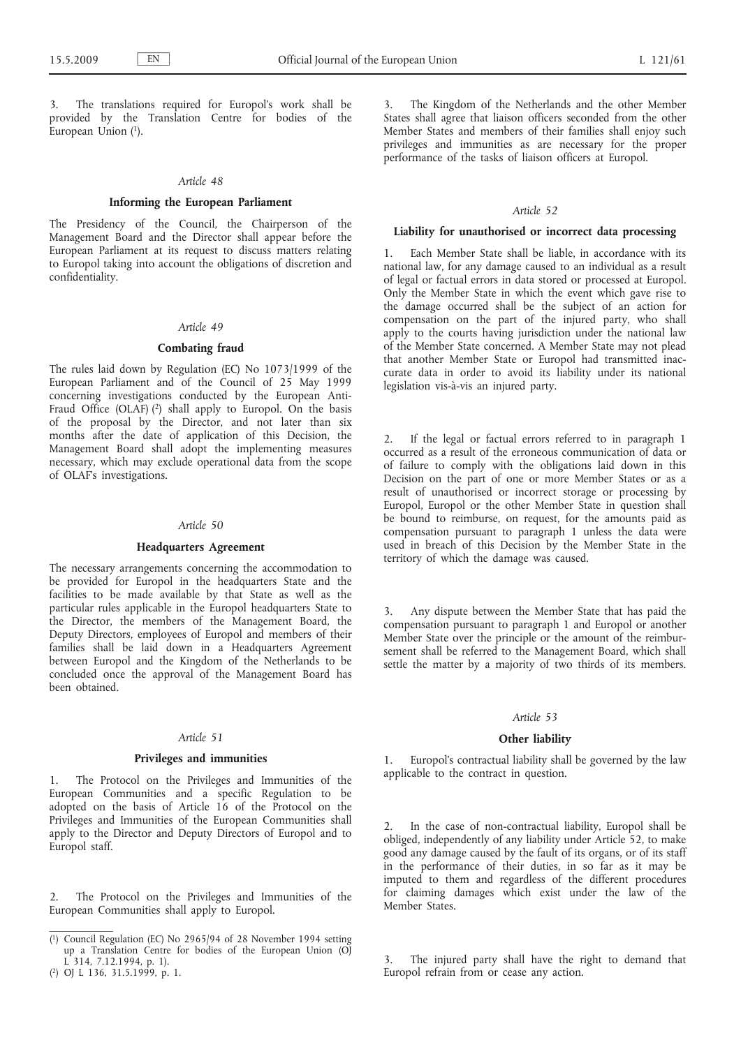The translations required for Europol's work shall be provided by the Translation Centre for bodies of the European Union (1).

#### *Article 48*

#### **Informing the European Parliament**

The Presidency of the Council, the Chairperson of the Management Board and the Director shall appear before the European Parliament at its request to discuss matters relating to Europol taking into account the obligations of discretion and confidentiality.

# *Article 49*

# **Combating fraud**

The rules laid down by Regulation (EC) No 1073/1999 of the European Parliament and of the Council of 25 May 1999 concerning investigations conducted by the European Anti-Fraud Office (OLAF) (2) shall apply to Europol. On the basis of the proposal by the Director, and not later than six months after the date of application of this Decision, the Management Board shall adopt the implementing measures necessary, which may exclude operational data from the scope of OLAF's investigations.

### *Article 50*

#### **Headquarters Agreement**

The necessary arrangements concerning the accommodation to be provided for Europol in the headquarters State and the facilities to be made available by that State as well as the particular rules applicable in the Europol headquarters State to the Director, the members of the Management Board, the Deputy Directors, employees of Europol and members of their families shall be laid down in a Headquarters Agreement between Europol and the Kingdom of the Netherlands to be concluded once the approval of the Management Board has been obtained.

#### *Article 51*

# **Privileges and immunities**

1. The Protocol on the Privileges and Immunities of the European Communities and a specific Regulation to be adopted on the basis of Article 16 of the Protocol on the Privileges and Immunities of the European Communities shall apply to the Director and Deputy Directors of Europol and to Europol staff.

The Protocol on the Privileges and Immunities of the European Communities shall apply to Europol.

( 2) OJ L 136, 31.5.1999, p. 1.

3. The Kingdom of the Netherlands and the other Member States shall agree that liaison officers seconded from the other Member States and members of their families shall enjoy such privileges and immunities as are necessary for the proper performance of the tasks of liaison officers at Europol.

# *Article 52*

### **Liability for unauthorised or incorrect data processing**

1. Each Member State shall be liable, in accordance with its national law, for any damage caused to an individual as a result of legal or factual errors in data stored or processed at Europol. Only the Member State in which the event which gave rise to the damage occurred shall be the subject of an action for compensation on the part of the injured party, who shall apply to the courts having jurisdiction under the national law of the Member State concerned. A Member State may not plead that another Member State or Europol had transmitted inaccurate data in order to avoid its liability under its national legislation vis-à-vis an injured party.

2. If the legal or factual errors referred to in paragraph 1 occurred as a result of the erroneous communication of data or of failure to comply with the obligations laid down in this Decision on the part of one or more Member States or as a result of unauthorised or incorrect storage or processing by Europol, Europol or the other Member State in question shall be bound to reimburse, on request, for the amounts paid as compensation pursuant to paragraph 1 unless the data were used in breach of this Decision by the Member State in the territory of which the damage was caused.

3. Any dispute between the Member State that has paid the compensation pursuant to paragraph 1 and Europol or another Member State over the principle or the amount of the reimbursement shall be referred to the Management Board, which shall settle the matter by a majority of two thirds of its members.

# *Article 53*

### **Other liability**

1. Europol's contractual liability shall be governed by the law applicable to the contract in question.

In the case of non-contractual liability, Europol shall be obliged, independently of any liability under Article 52, to make good any damage caused by the fault of its organs, or of its staff in the performance of their duties, in so far as it may be imputed to them and regardless of the different procedures for claiming damages which exist under the law of the Member States.

The injured party shall have the right to demand that Europol refrain from or cease any action.

<sup>(</sup> 1) Council Regulation (EC) No 2965/94 of 28 November 1994 setting up a Translation Centre for bodies of the European Union (OJ L 314, 7.12.1994, p. 1).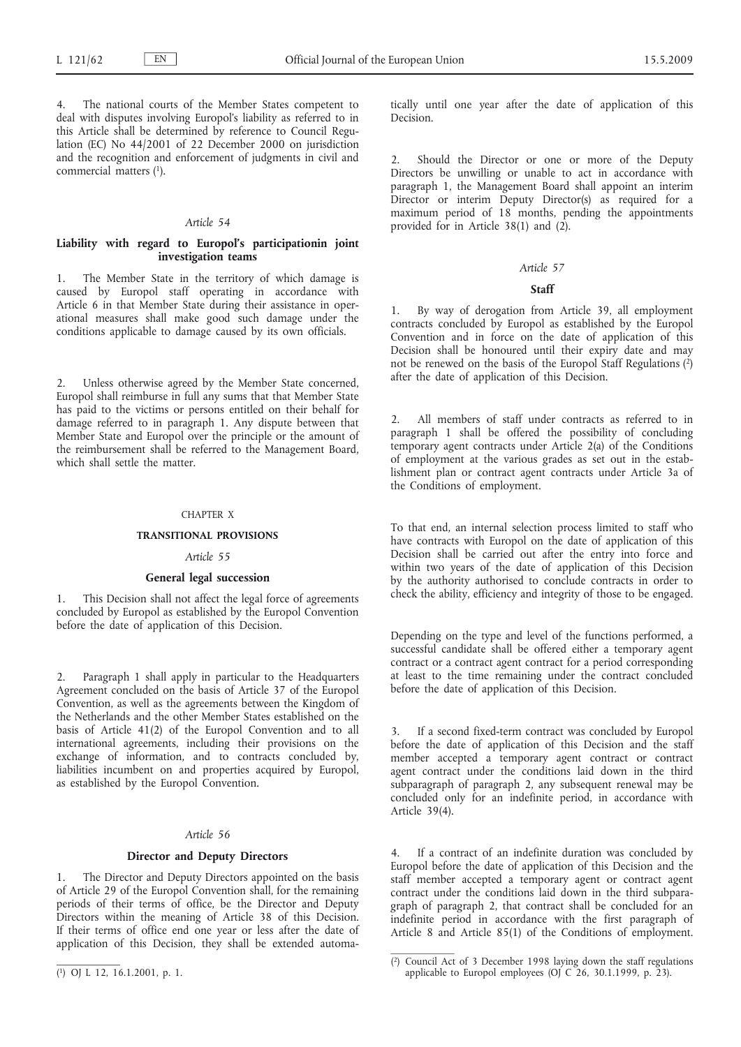4. The national courts of the Member States competent to deal with disputes involving Europol's liability as referred to in this Article shall be determined by reference to Council Regulation (EC) No 44/2001 of 22 December 2000 on jurisdiction and the recognition and enforcement of judgments in civil and commercial matters (1).

### *Article 54*

# **Liability with regard to Europol's participationin joint investigation teams**

1. The Member State in the territory of which damage is caused by Europol staff operating in accordance with Article 6 in that Member State during their assistance in operational measures shall make good such damage under the conditions applicable to damage caused by its own officials.

Unless otherwise agreed by the Member State concerned, Europol shall reimburse in full any sums that that Member State has paid to the victims or persons entitled on their behalf for damage referred to in paragraph 1. Any dispute between that Member State and Europol over the principle or the amount of the reimbursement shall be referred to the Management Board, which shall settle the matter.

### CHAPTER X

#### **TRANSITIONAL PROVISIONS**

# *Article 55*

# **General legal succession**

This Decision shall not affect the legal force of agreements concluded by Europol as established by the Europol Convention before the date of application of this Decision.

2. Paragraph 1 shall apply in particular to the Headquarters Agreement concluded on the basis of Article 37 of the Europol Convention, as well as the agreements between the Kingdom of the Netherlands and the other Member States established on the basis of Article 41(2) of the Europol Convention and to all international agreements, including their provisions on the exchange of information, and to contracts concluded by, liabilities incumbent on and properties acquired by Europol, as established by the Europol Convention.

# *Article 56*

### **Director and Deputy Directors**

The Director and Deputy Directors appointed on the basis of Article 29 of the Europol Convention shall, for the remaining periods of their terms of office, be the Director and Deputy Directors within the meaning of Article 38 of this Decision. If their terms of office end one year or less after the date of application of this Decision, they shall be extended automatically until one year after the date of application of this Decision.

Should the Director or one or more of the Deputy Directors be unwilling or unable to act in accordance with paragraph 1, the Management Board shall appoint an interim Director or interim Deputy Director(s) as required for a maximum period of 18 months, pending the appointments provided for in Article 38(1) and (2).

### *Article 57*

# **Staff**

By way of derogation from Article 39, all employment contracts concluded by Europol as established by the Europol Convention and in force on the date of application of this Decision shall be honoured until their expiry date and may not be renewed on the basis of the Europol Staff Regulations  $(\dot{2})$ after the date of application of this Decision.

2. All members of staff under contracts as referred to in paragraph 1 shall be offered the possibility of concluding temporary agent contracts under Article 2(a) of the Conditions of employment at the various grades as set out in the establishment plan or contract agent contracts under Article 3a of the Conditions of employment.

To that end, an internal selection process limited to staff who have contracts with Europol on the date of application of this Decision shall be carried out after the entry into force and within two years of the date of application of this Decision by the authority authorised to conclude contracts in order to check the ability, efficiency and integrity of those to be engaged.

Depending on the type and level of the functions performed, a successful candidate shall be offered either a temporary agent contract or a contract agent contract for a period corresponding at least to the time remaining under the contract concluded before the date of application of this Decision.

If a second fixed-term contract was concluded by Europol before the date of application of this Decision and the staff member accepted a temporary agent contract or contract agent contract under the conditions laid down in the third subparagraph of paragraph 2, any subsequent renewal may be concluded only for an indefinite period, in accordance with Article 39(4).

4. If a contract of an indefinite duration was concluded by Europol before the date of application of this Decision and the staff member accepted a temporary agent or contract agent contract under the conditions laid down in the third subparagraph of paragraph 2, that contract shall be concluded for an indefinite period in accordance with the first paragraph of Article 8 and Article 85(1) of the Conditions of employment.

<sup>(</sup> 1) OJ L 12, 16.1.2001, p. 1.

<sup>(</sup> 2) Council Act of 3 December 1998 laying down the staff regulations applicable to Europol employees (OJ  $\tilde{C}$  26, 30.1.1999, p. 23).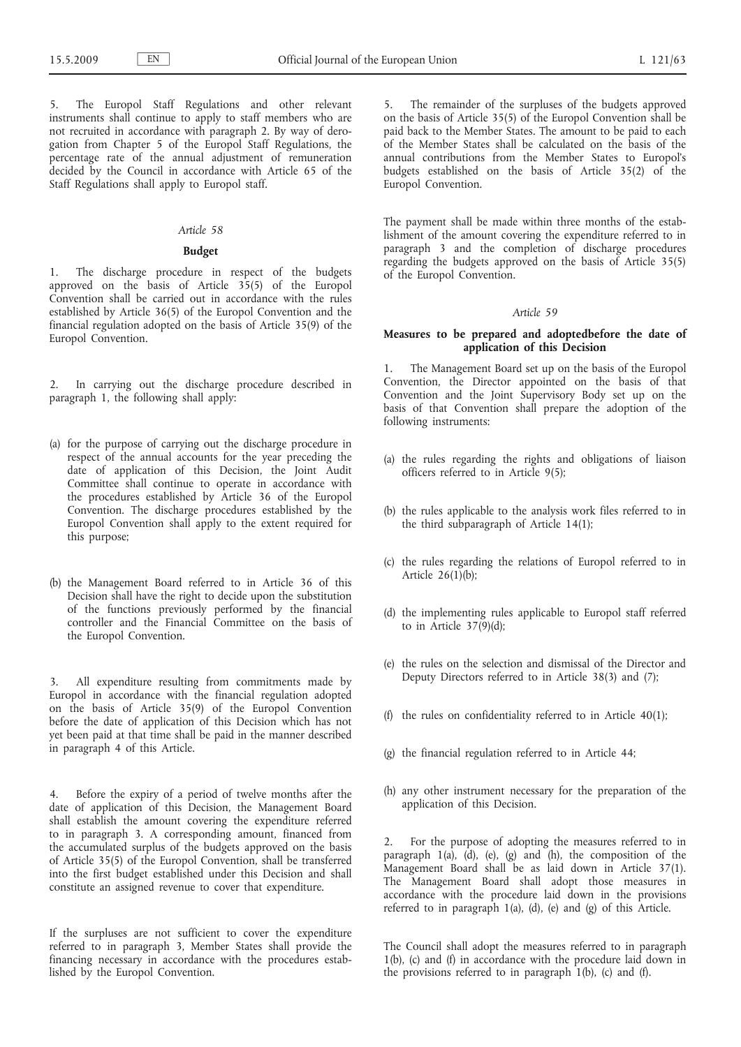The Europol Staff Regulations and other relevant instruments shall continue to apply to staff members who are not recruited in accordance with paragraph 2. By way of derogation from Chapter 5 of the Europol Staff Regulations, the percentage rate of the annual adjustment of remuneration decided by the Council in accordance with Article 65 of the Staff Regulations shall apply to Europol staff.

# *Article 58*

# **Budget**

1. The discharge procedure in respect of the budgets approved on the basis of Article 35(5) of the Europol Convention shall be carried out in accordance with the rules established by Article 36(5) of the Europol Convention and the financial regulation adopted on the basis of Article 35(9) of the Europol Convention.

2. In carrying out the discharge procedure described in paragraph 1, the following shall apply:

- (a) for the purpose of carrying out the discharge procedure in respect of the annual accounts for the year preceding the date of application of this Decision, the Joint Audit Committee shall continue to operate in accordance with the procedures established by Article 36 of the Europol Convention. The discharge procedures established by the Europol Convention shall apply to the extent required for this purpose;
- (b) the Management Board referred to in Article 36 of this Decision shall have the right to decide upon the substitution of the functions previously performed by the financial controller and the Financial Committee on the basis of the Europol Convention.

3. All expenditure resulting from commitments made by Europol in accordance with the financial regulation adopted on the basis of Article 35(9) of the Europol Convention before the date of application of this Decision which has not yet been paid at that time shall be paid in the manner described in paragraph 4 of this Article.

4. Before the expiry of a period of twelve months after the date of application of this Decision, the Management Board shall establish the amount covering the expenditure referred to in paragraph 3. A corresponding amount, financed from the accumulated surplus of the budgets approved on the basis of Article 35(5) of the Europol Convention, shall be transferred into the first budget established under this Decision and shall constitute an assigned revenue to cover that expenditure.

If the surpluses are not sufficient to cover the expenditure referred to in paragraph 3, Member States shall provide the financing necessary in accordance with the procedures established by the Europol Convention.

5. The remainder of the surpluses of the budgets approved on the basis of Article 35(5) of the Europol Convention shall be paid back to the Member States. The amount to be paid to each of the Member States shall be calculated on the basis of the annual contributions from the Member States to Europol's budgets established on the basis of Article 35(2) of the Europol Convention.

The payment shall be made within three months of the establishment of the amount covering the expenditure referred to in paragraph 3 and the completion of discharge procedures regarding the budgets approved on the basis of Article 35(5) of the Europol Convention.

#### *Article 59*

# **Measures to be prepared and adoptedbefore the date of application of this Decision**

1. The Management Board set up on the basis of the Europol Convention, the Director appointed on the basis of that Convention and the Joint Supervisory Body set up on the basis of that Convention shall prepare the adoption of the following instruments:

- (a) the rules regarding the rights and obligations of liaison officers referred to in Article 9(5);
- (b) the rules applicable to the analysis work files referred to in the third subparagraph of Article 14(1);
- (c) the rules regarding the relations of Europol referred to in Article 26(1)(b);
- (d) the implementing rules applicable to Europol staff referred to in Article  $37(9)(d)$ ;
- (e) the rules on the selection and dismissal of the Director and Deputy Directors referred to in Article 38(3) and (7);
- (f) the rules on confidentiality referred to in Article 40(1);
- (g) the financial regulation referred to in Article 44;
- (h) any other instrument necessary for the preparation of the application of this Decision.

2. For the purpose of adopting the measures referred to in paragraph  $1(a)$ ,  $(d)$ ,  $(e)$ ,  $(g)$  and  $(h)$ , the composition of the Management Board shall be as laid down in Article 37(1). The Management Board shall adopt those measures in accordance with the procedure laid down in the provisions referred to in paragraph  $1(a)$ ,  $(d)$ ,  $(e)$  and  $(g)$  of this Article.

The Council shall adopt the measures referred to in paragraph 1(b), (c) and (f) in accordance with the procedure laid down in the provisions referred to in paragraph 1(b), (c) and (f).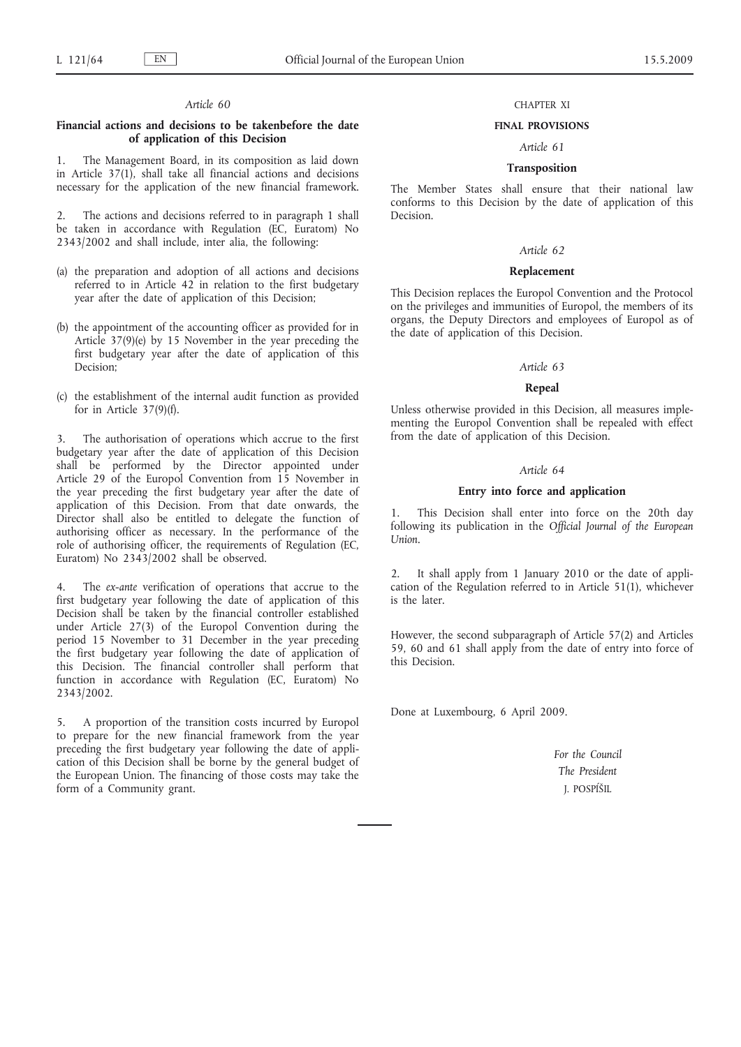# *Article 60*

# **Financial actions and decisions to be takenbefore the date of application of this Decision**

1. The Management Board, in its composition as laid down in Article 37(1), shall take all financial actions and decisions necessary for the application of the new financial framework.

The actions and decisions referred to in paragraph 1 shall be taken in accordance with Regulation (EC, Euratom) No 2343/2002 and shall include, inter alia, the following:

- (a) the preparation and adoption of all actions and decisions referred to in Article 42 in relation to the first budgetary year after the date of application of this Decision;
- (b) the appointment of the accounting officer as provided for in Article 37(9)(e) by 15 November in the year preceding the first budgetary year after the date of application of this Decision;
- (c) the establishment of the internal audit function as provided for in Article 37(9)(f).

The authorisation of operations which accrue to the first budgetary year after the date of application of this Decision shall be performed by the Director appointed under Article 29 of the Europol Convention from 15 November in the year preceding the first budgetary year after the date of application of this Decision. From that date onwards, the Director shall also be entitled to delegate the function of authorising officer as necessary. In the performance of the role of authorising officer, the requirements of Regulation (EC, Euratom) No 2343/2002 shall be observed.

4. The *ex-ante* verification of operations that accrue to the first budgetary year following the date of application of this Decision shall be taken by the financial controller established under Article 27(3) of the Europol Convention during the period 15 November to 31 December in the year preceding the first budgetary year following the date of application of this Decision. The financial controller shall perform that function in accordance with Regulation (EC, Euratom) No 2343/2002.

5. A proportion of the transition costs incurred by Europol to prepare for the new financial framework from the year preceding the first budgetary year following the date of application of this Decision shall be borne by the general budget of the European Union. The financing of those costs may take the form of a Community grant.

### CHAPTER XI

# **FINAL PROVISIONS**

# *Article 61*

# **Transposition**

The Member States shall ensure that their national law conforms to this Decision by the date of application of this Decision.

# *Article 62*

#### **Replacement**

This Decision replaces the Europol Convention and the Protocol on the privileges and immunities of Europol, the members of its organs, the Deputy Directors and employees of Europol as of the date of application of this Decision.

### *Article 63*

### **Repeal**

Unless otherwise provided in this Decision, all measures implementing the Europol Convention shall be repealed with effect from the date of application of this Decision.

### *Article 64*

### **Entry into force and application**

This Decision shall enter into force on the 20th day following its publication in the *Official Journal of the European Union*.

2. It shall apply from 1 January 2010 or the date of application of the Regulation referred to in Article 51(1), whichever is the later.

However, the second subparagraph of Article 57(2) and Articles 59, 60 and 61 shall apply from the date of entry into force of this Decision.

Done at Luxembourg, 6 April 2009.

*For the Council The President* J. POSPÍŠIL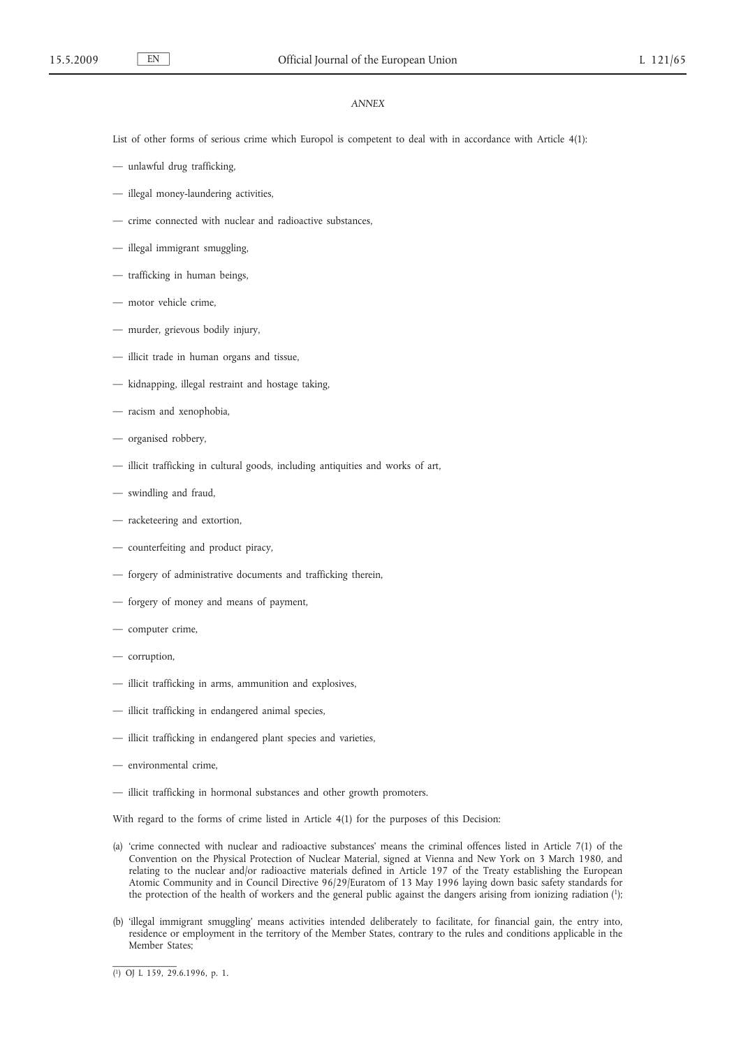## *ANNEX*

List of other forms of serious crime which Europol is competent to deal with in accordance with Article 4(1):

- unlawful drug trafficking,
- illegal money-laundering activities,
- crime connected with nuclear and radioactive substances,
- illegal immigrant smuggling,
- trafficking in human beings,
- motor vehicle crime,
- murder, grievous bodily injury,
- illicit trade in human organs and tissue,
- kidnapping, illegal restraint and hostage taking,
- racism and xenophobia,
- organised robbery,
- illicit trafficking in cultural goods, including antiquities and works of art,
- swindling and fraud,
- racketeering and extortion,
- counterfeiting and product piracy,
- forgery of administrative documents and trafficking therein,
- forgery of money and means of payment,
- computer crime,
- corruption,
- illicit trafficking in arms, ammunition and explosives,
- illicit trafficking in endangered animal species,
- illicit trafficking in endangered plant species and varieties,
- environmental crime,
- illicit trafficking in hormonal substances and other growth promoters.

With regard to the forms of crime listed in Article 4(1) for the purposes of this Decision:

- (a) 'crime connected with nuclear and radioactive substances' means the criminal offences listed in Article 7(1) of the Convention on the Physical Protection of Nuclear Material, signed at Vienna and New York on 3 March 1980, and relating to the nuclear and/or radioactive materials defined in Article 197 of the Treaty establishing the European Atomic Community and in Council Directive 96/29/Euratom of 13 May 1996 laying down basic safety standards for the protection of the health of workers and the general public against the dangers arising from ionizing radiation (1);
- (b) 'illegal immigrant smuggling' means activities intended deliberately to facilitate, for financial gain, the entry into, residence or employment in the territory of the Member States, contrary to the rules and conditions applicable in the Member States;

<sup>(</sup> 1) OJ L 159, 29.6.1996, p. 1.